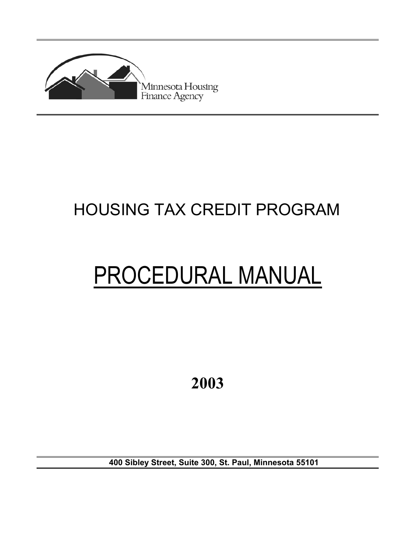

# HOUSING TAX CREDIT PROGRAM

# PROCEDURAL MANUAL

**2003**

**400 Sibley Street, Suite 300, St. Paul, Minnesota 55101**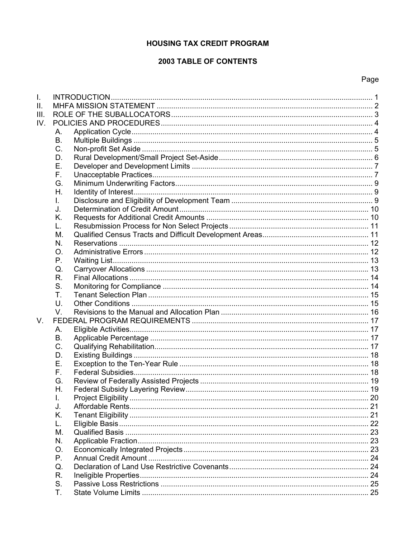# **HOUSING TAX CREDIT PROGRAM**

# **2003 TABLE OF CONTENTS**

# Page

| I.   |             |  |
|------|-------------|--|
| II.  |             |  |
| III. |             |  |
| IV.  |             |  |
|      | А.          |  |
|      | <b>B.</b>   |  |
|      | C.          |  |
|      | D.          |  |
|      | Е.          |  |
|      | F.          |  |
|      | G.          |  |
|      | Η.          |  |
|      | L.          |  |
|      | J.          |  |
|      | Κ.          |  |
|      | L.          |  |
|      | М.          |  |
|      | N.          |  |
|      | O.          |  |
|      | $P_{\cdot}$ |  |
|      | Q.          |  |
|      | R.          |  |
|      | S.          |  |
|      | Τ.          |  |
|      | U.          |  |
|      | V.          |  |
| V.   |             |  |
|      | А.          |  |
|      | В.          |  |
|      | C.          |  |
|      | D.          |  |
|      | Е.          |  |
|      | F.          |  |
|      | G.          |  |
|      | Η.          |  |
|      | I.          |  |
|      | J.          |  |
|      | K.          |  |
|      | L.          |  |
|      | М.          |  |
|      | N.          |  |
|      | O.          |  |
|      | Р.          |  |
|      | Q.          |  |
|      | R.          |  |
|      | S.          |  |
|      | Т.          |  |
|      |             |  |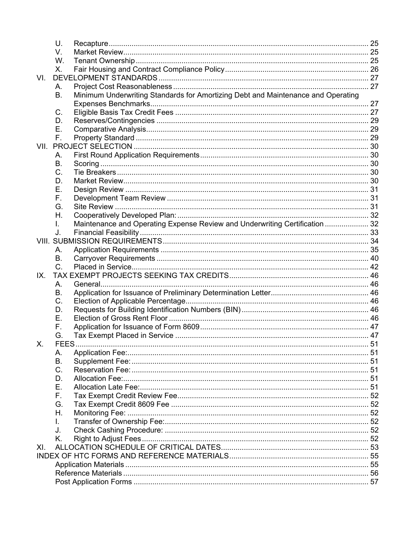|      | U.   |                                                                                  |  |
|------|------|----------------------------------------------------------------------------------|--|
|      | V.   |                                                                                  |  |
|      | W.   |                                                                                  |  |
|      | X.   |                                                                                  |  |
| VI.  |      |                                                                                  |  |
|      | А.   |                                                                                  |  |
|      | В.   | Minimum Underwriting Standards for Amortizing Debt and Maintenance and Operating |  |
|      |      |                                                                                  |  |
|      | C.   |                                                                                  |  |
|      | D.   |                                                                                  |  |
|      | Е.   |                                                                                  |  |
|      | F.   |                                                                                  |  |
| VII. |      |                                                                                  |  |
|      | А.   |                                                                                  |  |
|      | В.   |                                                                                  |  |
|      | C.   |                                                                                  |  |
|      | D.   |                                                                                  |  |
|      | Е.   |                                                                                  |  |
|      | F.   |                                                                                  |  |
|      | G.   |                                                                                  |  |
|      | Η.   |                                                                                  |  |
|      | L.   | Maintenance and Operating Expense Review and Underwriting Certification  32      |  |
|      | J.   |                                                                                  |  |
|      |      |                                                                                  |  |
|      | А.   |                                                                                  |  |
|      | В.   |                                                                                  |  |
|      | C.   |                                                                                  |  |
| IX.  |      |                                                                                  |  |
|      | А.   |                                                                                  |  |
|      | В.   |                                                                                  |  |
|      | C.   |                                                                                  |  |
|      | D.   |                                                                                  |  |
|      | Ε.   |                                                                                  |  |
|      | F.   |                                                                                  |  |
|      | G.   |                                                                                  |  |
| Χ.   | FEES |                                                                                  |  |
|      | Α.   |                                                                                  |  |
|      | В.   |                                                                                  |  |
|      | C.   |                                                                                  |  |
|      | D.   |                                                                                  |  |
|      | Ε.   |                                                                                  |  |
|      | F.   |                                                                                  |  |
|      | G.   |                                                                                  |  |
|      | Η.   |                                                                                  |  |
|      | L.   |                                                                                  |  |
|      | J.   |                                                                                  |  |
|      | K.   |                                                                                  |  |
| XI.  |      |                                                                                  |  |
|      |      |                                                                                  |  |
|      |      |                                                                                  |  |
|      |      |                                                                                  |  |
|      |      |                                                                                  |  |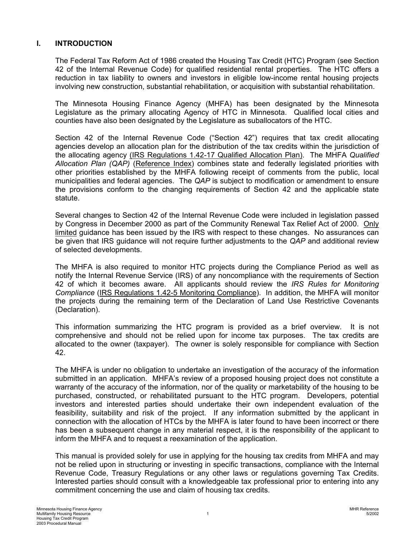#### <span id="page-3-0"></span>**I. INTRODUCTION**

The Federal Tax Reform Act of 1986 created the Housing Tax Credit (HTC) Program (see Section 42 of the Internal Revenue Code) for qualified residential rental properties. The HTC offers a reduction in tax liability to owners and investors in eligible low-income rental housing projects involving new construction, substantial rehabilitation, or acquisition with substantial rehabilitation.

The Minnesota Housing Finance Agency (MHFA) has been designated by the Minnesota Legislature as the primary allocating Agency of HTC in Minnesota. Qualified local cities and counties have also been designated by the Legislature as suballocators of the HTC.

Section 42 of the Internal Revenue Code ("Section 42") requires that tax credit allocating agencies develop an allocation plan for the distribution of the tax credits within the jurisdiction of the allocating agency (IRS Regulations 1.42-17 Qualified Allocation Plan). The MHFA *Qualified Allocation Plan (QAP)* (Reference Index) combines state and federally legislated priorities with other priorities established by the MHFA following receipt of comments from the public, local municipalities and federal agencies. The *QAP* is subject to modification or amendment to ensure the provisions conform to the changing requirements of Section 42 and the applicable state statute.

Several changes to Section 42 of the Internal Revenue Code were included in legislation passed by Congress in December 2000 as part of the Community Renewal Tax Relief Act of 2000. Only limited guidance has been issued by the IRS with respect to these changes. No assurances can be given that IRS guidance will not require further adjustments to the *QAP* and additional review of selected developments.

The MHFA is also required to monitor HTC projects during the Compliance Period as well as notify the Internal Revenue Service (IRS) of any noncompliance with the requirements of Section 42 of which it becomes aware. All applicants should review the *IRS Rules for Monitoring Compliance* (IRS Regulations 1.42-5 Monitoring Compliance). In addition, the MHFA will monitor the projects during the remaining term of the Declaration of Land Use Restrictive Covenants (Declaration).

This information summarizing the HTC program is provided as a brief overview. It is not comprehensive and should not be relied upon for income tax purposes. The tax credits are allocated to the owner (taxpayer). The owner is solely responsible for compliance with Section 42.

The MHFA is under no obligation to undertake an investigation of the accuracy of the information submitted in an application. MHFA's review of a proposed housing project does not constitute a warranty of the accuracy of the information, nor of the quality or marketability of the housing to be purchased, constructed, or rehabilitated pursuant to the HTC program. Developers, potential investors and interested parties should undertake their own independent evaluation of the feasibility, suitability and risk of the project. If any information submitted by the applicant in connection with the allocation of HTCs by the MHFA is later found to have been incorrect or there has been a subsequent change in any material respect, it is the responsibility of the applicant to inform the MHFA and to request a reexamination of the application.

This manual is provided solely for use in applying for the housing tax credits from MHFA and may not be relied upon in structuring or investing in specific transactions, compliance with the Internal Revenue Code, Treasury Regulations or any other laws or regulations governing Tax Credits. Interested parties should consult with a knowledgeable tax professional prior to entering into any commitment concerning the use and claim of housing tax credits.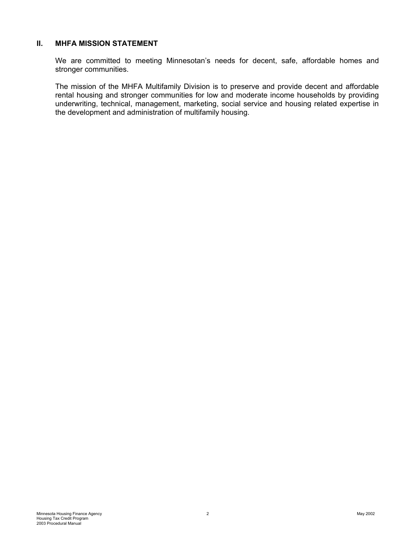#### <span id="page-4-0"></span>**II. MHFA MISSION STATEMENT**

We are committed to meeting Minnesotan's needs for decent, safe, affordable homes and stronger communities.

The mission of the MHFA Multifamily Division is to preserve and provide decent and affordable rental housing and stronger communities for low and moderate income households by providing underwriting, technical, management, marketing, social service and housing related expertise in the development and administration of multifamily housing.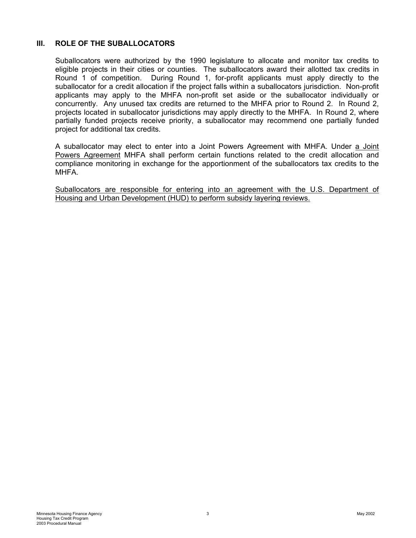#### <span id="page-5-0"></span>**III. ROLE OF THE SUBALLOCATORS**

Suballocators were authorized by the 1990 legislature to allocate and monitor tax credits to eligible projects in their cities or counties. The suballocators award their allotted tax credits in Round 1 of competition. During Round 1, for-profit applicants must apply directly to the suballocator for a credit allocation if the project falls within a suballocators jurisdiction. Non-profit applicants may apply to the MHFA non-profit set aside or the suballocator individually or concurrently. Any unused tax credits are returned to the MHFA prior to Round 2. In Round 2, projects located in suballocator jurisdictions may apply directly to the MHFA. In Round 2, where partially funded projects receive priority, a suballocator may recommend one partially funded project for additional tax credits.

A suballocator may elect to enter into a Joint Powers Agreement with MHFA. Under a Joint Powers Agreement MHFA shall perform certain functions related to the credit allocation and compliance monitoring in exchange for the apportionment of the suballocators tax credits to the MHFA.

Suballocators are responsible for entering into an agreement with the U.S. Department of Housing and Urban Development (HUD) to perform subsidy layering reviews.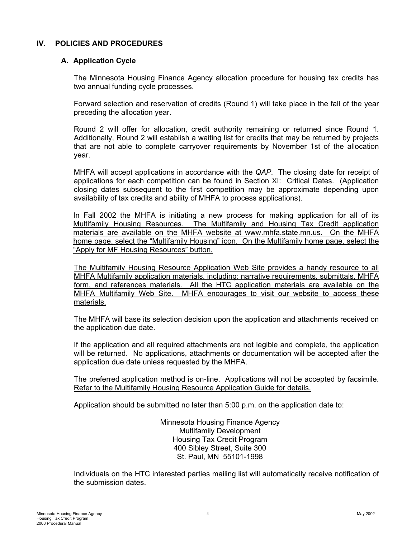#### <span id="page-6-0"></span>**IV. POLICIES AND PROCEDURES**

#### **A. Application Cycle**

The Minnesota Housing Finance Agency allocation procedure for housing tax credits has two annual funding cycle processes.

Forward selection and reservation of credits (Round 1) will take place in the fall of the year preceding the allocation year.

Round 2 will offer for allocation, credit authority remaining or returned since Round 1. Additionally, Round 2 will establish a waiting list for credits that may be returned by projects that are not able to complete carryover requirements by November 1st of the allocation year.

MHFA will accept applications in accordance with the *QAP*. The closing date for receipt of applications for each competition can be found in Section XI: Critical Dates. (Application closing dates subsequent to the first competition may be approximate depending upon availability of tax credits and ability of MHFA to process applications).

In Fall 2002 the MHFA is initiating a new process for making application for all of its Multifamily Housing Resources. The Multifamily and Housing Tax Credit application materials are available on the MHFA website at www.mhfa.state.mn.us. On the MHFA home page, select the "Multifamily Housing" icon. On the Multifamily home page, select the "Apply for MF Housing Resources" button.

The Multifamily Housing Resource Application Web Site provides a handy resource to all MHFA Multifamily application materials, including: narrative requirements, submittals, MHFA form, and references materials. All the HTC application materials are available on the MHFA Multifamily Web Site. MHFA encourages to visit our website to access these materials.

The MHFA will base its selection decision upon the application and attachments received on the application due date.

If the application and all required attachments are not legible and complete, the application will be returned. No applications, attachments or documentation will be accepted after the application due date unless requested by the MHFA.

The preferred application method is on-line. Applications will not be accepted by facsimile. Refer to the Multifamily Housing Resource Application Guide for details.

Application should be submitted no later than 5:00 p.m. on the application date to:

Minnesota Housing Finance Agency Multifamily Development Housing Tax Credit Program 400 Sibley Street, Suite 300 St. Paul, MN 55101-1998

Individuals on the HTC interested parties mailing list will automatically receive notification of the submission dates.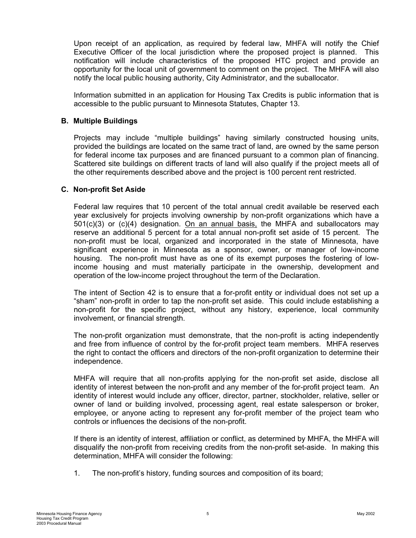<span id="page-7-0"></span>Upon receipt of an application, as required by federal law, MHFA will notify the Chief Executive Officer of the local jurisdiction where the proposed project is planned. This notification will include characteristics of the proposed HTC project and provide an opportunity for the local unit of government to comment on the project. The MHFA will also notify the local public housing authority, City Administrator, and the suballocator.

Information submitted in an application for Housing Tax Credits is public information that is accessible to the public pursuant to Minnesota Statutes, Chapter 13.

#### **B. Multiple Buildings**

Projects may include "multiple buildings" having similarly constructed housing units, provided the buildings are located on the same tract of land, are owned by the same person for federal income tax purposes and are financed pursuant to a common plan of financing. Scattered site buildings on different tracts of land will also qualify if the project meets all of the other requirements described above and the project is 100 percent rent restricted.

#### **C. Non-profit Set Aside**

Federal law requires that 10 percent of the total annual credit available be reserved each year exclusively for projects involving ownership by non-profit organizations which have a 501(c)(3) or (c)(4) designation. On an annual basis, the MHFA and suballocators may reserve an additional 5 percent for a total annual non-profit set aside of 15 percent. The non-profit must be local, organized and incorporated in the state of Minnesota, have significant experience in Minnesota as a sponsor, owner, or manager of low-income housing. The non-profit must have as one of its exempt purposes the fostering of lowincome housing and must materially participate in the ownership, development and operation of the low-income project throughout the term of the Declaration.

The intent of Section 42 is to ensure that a for-profit entity or individual does not set up a "sham" non-profit in order to tap the non-profit set aside. This could include establishing a non-profit for the specific project, without any history, experience, local community involvement, or financial strength.

The non-profit organization must demonstrate, that the non-profit is acting independently and free from influence of control by the for-profit project team members. MHFA reserves the right to contact the officers and directors of the non-profit organization to determine their independence.

MHFA will require that all non-profits applying for the non-profit set aside, disclose all identity of interest between the non-profit and any member of the for-profit project team. An identity of interest would include any officer, director, partner, stockholder, relative, seller or owner of land or building involved, processing agent, real estate salesperson or broker, employee, or anyone acting to represent any for-profit member of the project team who controls or influences the decisions of the non-profit.

If there is an identity of interest, affiliation or conflict, as determined by MHFA, the MHFA will disqualify the non-profit from receiving credits from the non-profit set-aside. In making this determination, MHFA will consider the following:

1. The non-profit's history, funding sources and composition of its board;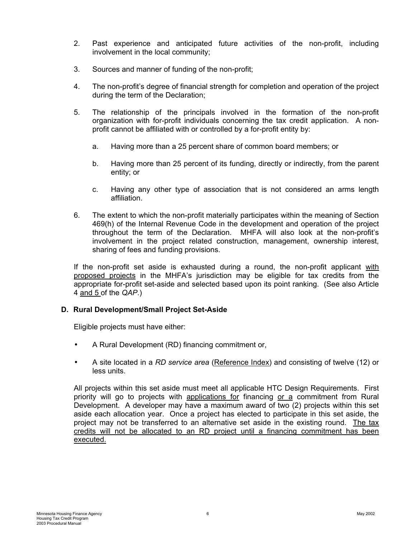- <span id="page-8-0"></span>2. Past experience and anticipated future activities of the non-profit, including involvement in the local community;
- 3. Sources and manner of funding of the non-profit;
- 4. The non-profit's degree of financial strength for completion and operation of the project during the term of the Declaration;
- 5. The relationship of the principals involved in the formation of the non-profit organization with for-profit individuals concerning the tax credit application. A nonprofit cannot be affiliated with or controlled by a for-profit entity by:
	- a. Having more than a 25 percent share of common board members; or
	- b. Having more than 25 percent of its funding, directly or indirectly, from the parent entity; or
	- c. Having any other type of association that is not considered an arms length affiliation.
- 6. The extent to which the non-profit materially participates within the meaning of Section 469(h) of the Internal Revenue Code in the development and operation of the project throughout the term of the Declaration. MHFA will also look at the non-profit's involvement in the project related construction, management, ownership interest, sharing of fees and funding provisions.

If the non-profit set aside is exhausted during a round, the non-profit applicant with proposed projects in the MHFA's jurisdiction may be eligible for tax credits from the appropriate for-profit set-aside and selected based upon its point ranking. (See also Article 4 and 5 of the *QAP*.)

# **D. Rural Development/Small Project Set-Aside**

Eligible projects must have either:

- A Rural Development (RD) financing commitment or,
- A site located in a *RD service area* (Reference Index) and consisting of twelve (12) or less units.

All projects within this set aside must meet all applicable HTC Design Requirements. First priority will go to projects with applications for financing or a commitment from Rural Development. A developer may have a maximum award of two (2) projects within this set aside each allocation year. Once a project has elected to participate in this set aside, the project may not be transferred to an alternative set aside in the existing round. The tax credits will not be allocated to an RD project until a financing commitment has been executed.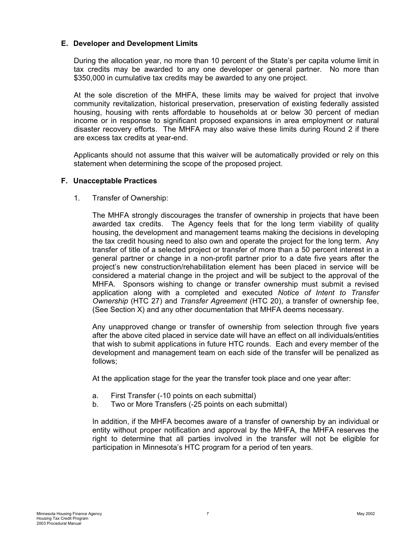#### <span id="page-9-0"></span>**E. Developer and Development Limits**

During the allocation year, no more than 10 percent of the State's per capita volume limit in tax credits may be awarded to any one developer or general partner. No more than \$350,000 in cumulative tax credits may be awarded to any one project.

At the sole discretion of the MHFA, these limits may be waived for project that involve community revitalization, historical preservation, preservation of existing federally assisted housing, housing with rents affordable to households at or below 30 percent of median income or in response to significant proposed expansions in area employment or natural disaster recovery efforts. The MHFA may also waive these limits during Round 2 if there are excess tax credits at year-end.

Applicants should not assume that this waiver will be automatically provided or rely on this statement when determining the scope of the proposed project.

#### **F. Unacceptable Practices**

1. Transfer of Ownership:

The MHFA strongly discourages the transfer of ownership in projects that have been awarded tax credits. The Agency feels that for the long term viability of quality housing, the development and management teams making the decisions in developing the tax credit housing need to also own and operate the project for the long term. Any transfer of title of a selected project or transfer of more than a 50 percent interest in a general partner or change in a non-profit partner prior to a date five years after the project's new construction/rehabilitation element has been placed in service will be considered a material change in the project and will be subject to the approval of the MHFA. Sponsors wishing to change or transfer ownership must submit a revised application along with a completed and executed *Notice of Intent to Transfer Ownership* (HTC 27) and *Transfer Agreement* (HTC 20), a transfer of ownership fee, (See Section X) and any other documentation that MHFA deems necessary.

Any unapproved change or transfer of ownership from selection through five years after the above cited placed in service date will have an effect on all individuals/entities that wish to submit applications in future HTC rounds. Each and every member of the development and management team on each side of the transfer will be penalized as follows;

At the application stage for the year the transfer took place and one year after:

- a. First Transfer (-10 points on each submittal)
- b. Two or More Transfers (-25 points on each submittal)

In addition, if the MHFA becomes aware of a transfer of ownership by an individual or entity without proper notification and approval by the MHFA, the MHFA reserves the right to determine that all parties involved in the transfer will not be eligible for participation in Minnesota's HTC program for a period of ten years.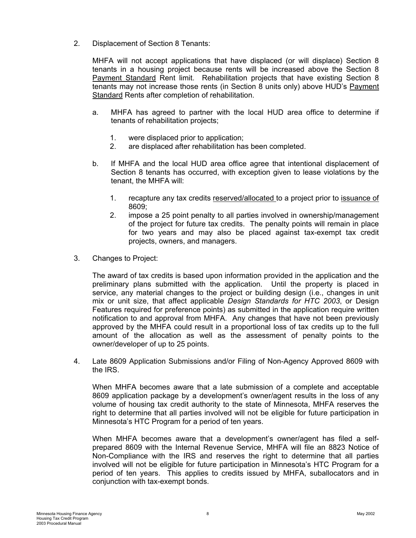2. Displacement of Section 8 Tenants:

MHFA will not accept applications that have displaced (or will displace) Section 8 tenants in a housing project because rents will be increased above the Section 8 Payment Standard Rent limit. Rehabilitation projects that have existing Section 8 tenants may not increase those rents (in Section 8 units only) above HUD's Payment Standard Rents after completion of rehabilitation.

- a. MHFA has agreed to partner with the local HUD area office to determine if tenants of rehabilitation projects;
	- 1. were displaced prior to application;
	- 2. are displaced after rehabilitation has been completed.
- b. If MHFA and the local HUD area office agree that intentional displacement of Section 8 tenants has occurred, with exception given to lease violations by the tenant, the MHFA will:
	- 1. recapture any tax credits reserved/allocated to a project prior to issuance of 8609;
	- 2. impose a 25 point penalty to all parties involved in ownership/management of the project for future tax credits. The penalty points will remain in place for two years and may also be placed against tax-exempt tax credit projects, owners, and managers.
- 3. Changes to Project:

The award of tax credits is based upon information provided in the application and the preliminary plans submitted with the application. Until the property is placed in service, any material changes to the project or building design (i.e., changes in unit mix or unit size, that affect applicable *Design Standards for HTC 2003*, or Design Features required for preference points) as submitted in the application require written notification to and approval from MHFA. Any changes that have not been previously approved by the MHFA could result in a proportional loss of tax credits up to the full amount of the allocation as well as the assessment of penalty points to the owner/developer of up to 25 points.

4. Late 8609 Application Submissions and/or Filing of Non-Agency Approved 8609 with the IRS.

When MHFA becomes aware that a late submission of a complete and acceptable 8609 application package by a development's owner/agent results in the loss of any volume of housing tax credit authority to the state of Minnesota, MHFA reserves the right to determine that all parties involved will not be eligible for future participation in Minnesota's HTC Program for a period of ten years.

When MHFA becomes aware that a development's owner/agent has filed a selfprepared 8609 with the Internal Revenue Service, MHFA will file an 8823 Notice of Non-Compliance with the IRS and reserves the right to determine that all parties involved will not be eligible for future participation in Minnesota's HTC Program for a period of ten years. This applies to credits issued by MHFA, suballocators and in conjunction with tax-exempt bonds.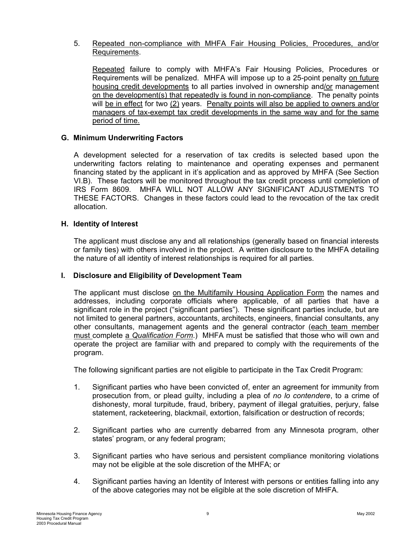<span id="page-11-0"></span>5. Repeated non-compliance with MHFA Fair Housing Policies, Procedures, and/or Requirements.

Repeated failure to comply with MHFA's Fair Housing Policies, Procedures or Requirements will be penalized. MHFA will impose up to a 25-point penalty on future housing credit developments to all parties involved in ownership and/or management on the development(s) that repeatedly is found in non-compliance. The penalty points will be in effect for two (2) years. Penalty points will also be applied to owners and/or managers of tax-exempt tax credit developments in the same way and for the same period of time.

#### **G. Minimum Underwriting Factors**

A development selected for a reservation of tax credits is selected based upon the underwriting factors relating to maintenance and operating expenses and permanent financing stated by the applicant in it's application and as approved by MHFA (See Section VI.B). These factors will be monitored throughout the tax credit process until completion of IRS Form 8609. MHFA WILL NOT ALLOW ANY SIGNIFICANT ADJUSTMENTS TO THESE FACTORS. Changes in these factors could lead to the revocation of the tax credit allocation.

#### **H. Identity of Interest**

The applicant must disclose any and all relationships (generally based on financial interests or family ties) with others involved in the project. A written disclosure to the MHFA detailing the nature of all identity of interest relationships is required for all parties.

#### **I. Disclosure and Eligibility of Development Team**

The applicant must disclose on the Multifamily Housing Application Form the names and addresses, including corporate officials where applicable, of all parties that have a significant role in the project ("significant parties"). These significant parties include, but are not limited to general partners, accountants, architects, engineers, financial consultants, any other consultants, management agents and the general contractor (each team member must complete a *Qualification Form*.) MHFA must be satisfied that those who will own and operate the project are familiar with and prepared to comply with the requirements of the program.

The following significant parties are not eligible to participate in the Tax Credit Program:

- 1. Significant parties who have been convicted of, enter an agreement for immunity from prosecution from, or plead guilty, including a plea of *no lo contendere*, to a crime of dishonesty, moral turpitude, fraud, bribery, payment of illegal gratuities, perjury, false statement, racketeering, blackmail, extortion, falsification or destruction of records;
- 2. Significant parties who are currently debarred from any Minnesota program, other states' program, or any federal program;
- 3. Significant parties who have serious and persistent compliance monitoring violations may not be eligible at the sole discretion of the MHFA; or
- 4. Significant parties having an Identity of Interest with persons or entities falling into any of the above categories may not be eligible at the sole discretion of MHFA.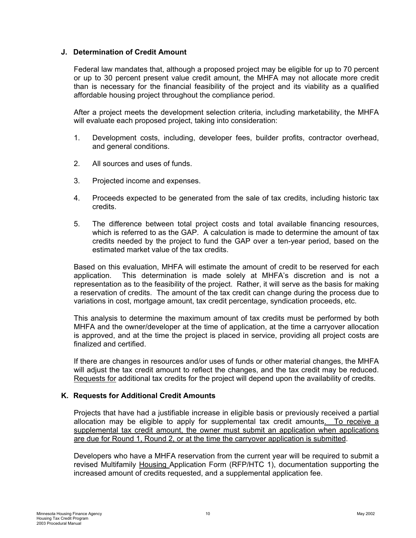#### <span id="page-12-0"></span>**J. Determination of Credit Amount**

Federal law mandates that, although a proposed project may be eligible for up to 70 percent or up to 30 percent present value credit amount, the MHFA may not allocate more credit than is necessary for the financial feasibility of the project and its viability as a qualified affordable housing project throughout the compliance period.

After a project meets the development selection criteria, including marketability, the MHFA will evaluate each proposed project, taking into consideration:

- 1. Development costs, including, developer fees, builder profits, contractor overhead, and general conditions.
- 2. All sources and uses of funds.
- 3. Projected income and expenses.
- 4. Proceeds expected to be generated from the sale of tax credits, including historic tax credits.
- 5. The difference between total project costs and total available financing resources, which is referred to as the GAP. A calculation is made to determine the amount of tax credits needed by the project to fund the GAP over a ten-year period, based on the estimated market value of the tax credits.

Based on this evaluation, MHFA will estimate the amount of credit to be reserved for each application. This determination is made solely at MHFA's discretion and is not a representation as to the feasibility of the project. Rather, it will serve as the basis for making a reservation of credits. The amount of the tax credit can change during the process due to variations in cost, mortgage amount, tax credit percentage, syndication proceeds, etc.

This analysis to determine the maximum amount of tax credits must be performed by both MHFA and the owner/developer at the time of application, at the time a carryover allocation is approved, and at the time the project is placed in service, providing all project costs are finalized and certified.

If there are changes in resources and/or uses of funds or other material changes, the MHFA will adjust the tax credit amount to reflect the changes, and the tax credit may be reduced. Requests for additional tax credits for the project will depend upon the availability of credits.

#### **K. Requests for Additional Credit Amounts**

Projects that have had a justifiable increase in eligible basis or previously received a partial allocation may be eligible to apply for supplemental tax credit amounts. To receive a supplemental tax credit amount, the owner must submit an application when applications are due for Round 1, Round 2, or at the time the carryover application is submitted.

Developers who have a MHFA reservation from the current year will be required to submit a revised Multifamily Housing Application Form (RFP/HTC 1), documentation supporting the increased amount of credits requested, and a supplemental application fee.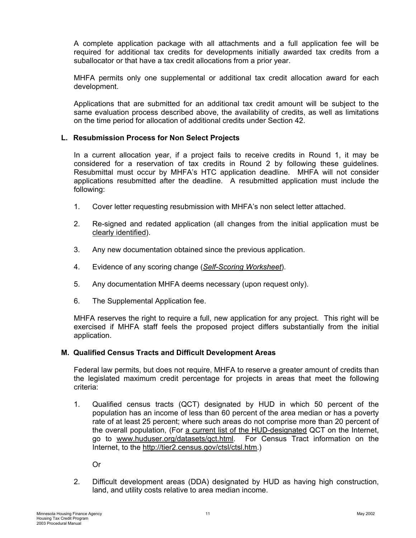<span id="page-13-0"></span>A complete application package with all attachments and a full application fee will be required for additional tax credits for developments initially awarded tax credits from a suballocator or that have a tax credit allocations from a prior year.

MHFA permits only one supplemental or additional tax credit allocation award for each development.

Applications that are submitted for an additional tax credit amount will be subject to the same evaluation process described above, the availability of credits, as well as limitations on the time period for allocation of additional credits under Section 42.

#### **L. Resubmission Process for Non Select Projects**

In a current allocation year, if a project fails to receive credits in Round 1, it may be considered for a reservation of tax credits in Round 2 by following these guidelines. Resubmittal must occur by MHFA's HTC application deadline. MHFA will not consider applications resubmitted after the deadline. A resubmitted application must include the following:

- 1. Cover letter requesting resubmission with MHFA's non select letter attached.
- 2. Re-signed and redated application (all changes from the initial application must be clearly identified).
- 3. Any new documentation obtained since the previous application.
- 4. Evidence of any scoring change (*Self-Scoring Worksheet*).
- 5. Any documentation MHFA deems necessary (upon request only).
- 6. The Supplemental Application fee.

MHFA reserves the right to require a full, new application for any project. This right will be exercised if MHFA staff feels the proposed project differs substantially from the initial application.

#### **M. Qualified Census Tracts and Difficult Development Areas**

Federal law permits, but does not require, MHFA to reserve a greater amount of credits than the legislated maximum credit percentage for projects in areas that meet the following criteria:

1. Qualified census tracts (QCT) designated by HUD in which 50 percent of the population has an income of less than 60 percent of the area median or has a poverty rate of at least 25 percent; where such areas do not comprise more than 20 percent of the overall population, (For a current list of the HUD-designated QCT on the Internet, go to [www.huduser.org/datasets/qct.html.](http://www.huduser.org/datasets/qct.html) For Census Tract information on the Internet, to the http://tier2.census.gov/ctsl/ctsl.htm.)

Or

2. Difficult development areas (DDA) designated by HUD as having high construction, land, and utility costs relative to area median income.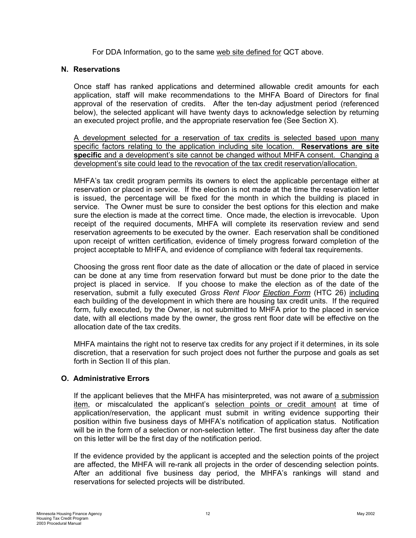For DDA Information, go to the same web site defined for QCT above.

#### <span id="page-14-0"></span>**N. Reservations**

Once staff has ranked applications and determined allowable credit amounts for each application, staff will make recommendations to the MHFA Board of Directors for final approval of the reservation of credits. After the ten-day adjustment period (referenced below), the selected applicant will have twenty days to acknowledge selection by returning an executed project profile, and the appropriate reservation fee (See Section X).

A development selected for a reservation of tax credits is selected based upon many specific factors relating to the application including site location. **Reservations are site specific** and a development's site cannot be changed without MHFA consent. Changing a development's site could lead to the revocation of the tax credit reservation/allocation.

MHFA's tax credit program permits its owners to elect the applicable percentage either at reservation or placed in service. If the election is not made at the time the reservation letter is issued, the percentage will be fixed for the month in which the building is placed in service. The Owner must be sure to consider the best options for this election and make sure the election is made at the correct time. Once made, the election is irrevocable. Upon receipt of the required documents, MHFA will complete its reservation review and send reservation agreements to be executed by the owner. Each reservation shall be conditioned upon receipt of written certification, evidence of timely progress forward completion of the project acceptable to MHFA, and evidence of compliance with federal tax requirements.

Choosing the gross rent floor date as the date of allocation or the date of placed in service can be done at any time from reservation forward but must be done prior to the date the project is placed in service. If you choose to make the election as of the date of the reservation, submit a fully executed *Gross Rent Floor Election Form* (HTC 26) including each building of the development in which there are housing tax credit units. If the required form, fully executed, by the Owner, is not submitted to MHFA prior to the placed in service date, with all elections made by the owner, the gross rent floor date will be effective on the allocation date of the tax credits.

MHFA maintains the right not to reserve tax credits for any project if it determines, in its sole discretion, that a reservation for such project does not further the purpose and goals as set forth in Section II of this plan.

#### **O. Administrative Errors**

If the applicant believes that the MHFA has misinterpreted, was not aware of a submission item, or miscalculated the applicant's selection points or credit amount at time of application/reservation, the applicant must submit in writing evidence supporting their position within five business days of MHFA's notification of application status. Notification will be in the form of a selection or non-selection letter. The first business day after the date on this letter will be the first day of the notification period.

If the evidence provided by the applicant is accepted and the selection points of the project are affected, the MHFA will re-rank all projects in the order of descending selection points. After an additional five business day period, the MHFA's rankings will stand and reservations for selected projects will be distributed.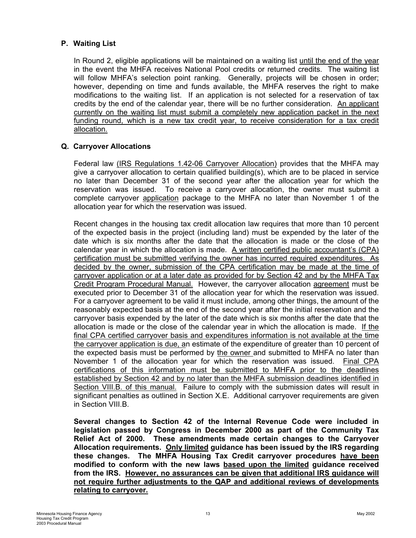### <span id="page-15-0"></span>**P. Waiting List**

In Round 2, eligible applications will be maintained on a waiting list until the end of the year in the event the MHFA receives National Pool credits or returned credits. The waiting list will follow MHFA's selection point ranking. Generally, projects will be chosen in order; however, depending on time and funds available, the MHFA reserves the right to make modifications to the waiting list. If an application is not selected for a reservation of tax credits by the end of the calendar year, there will be no further consideration. An applicant currently on the waiting list must submit a completely new application packet in the next funding round, which is a new tax credit year, to receive consideration for a tax credit allocation.

#### **Q. Carryover Allocations**

Federal law (IRS Regulations 1.42-06 Carryover Allocation) provides that the MHFA may give a carryover allocation to certain qualified building(s), which are to be placed in service no later than December 31 of the second year after the allocation year for which the reservation was issued. To receive a carryover allocation, the owner must submit a complete carryover application package to the MHFA no later than November 1 of the allocation year for which the reservation was issued.

Recent changes in the housing tax credit allocation law requires that more than 10 percent of the expected basis in the project (including land) must be expended by the later of the date which is six months after the date that the allocation is made or the close of the calendar year in which the allocation is made. A written certified public accountant's (CPA) certification must be submitted verifying the owner has incurred required expenditures. As decided by the owner, submission of the CPA certification may be made at the time of carryover application or at a later date as provided for by Section 42 and by the MHFA Tax Credit Program Procedural Manual. However, the carryover allocation agreement must be executed prior to December 31 of the allocation year for which the reservation was issued. For a carryover agreement to be valid it must include, among other things, the amount of the reasonably expected basis at the end of the second year after the initial reservation and the carryover basis expended by the later of the date which is six months after the date that the allocation is made or the close of the calendar year in which the allocation is made. If the final CPA certified carryover basis and expenditures information is not available at the time the carryover application is due, an estimate of the expenditure of greater than 10 percent of the expected basis must be performed by the owner and submitted to MHFA no later than November 1 of the allocation year for which the reservation was issued. Final CPA certifications of this information must be submitted to MHFA prior to the deadlines established by Section 42 and by no later than the MHFA submission deadlines identified in Section VIII.B. of this manual. Failure to comply with the submission dates will result in significant penalties as outlined in Section X.E. Additional carryover requirements are given in Section VIII.B.

**Several changes to Section 42 of the Internal Revenue Code were included in legislation passed by Congress in December 2000 as part of the Community Tax Relief Act of 2000. These amendments made certain changes to the Carryover Allocation requirements. Only limited guidance has been issued by the IRS regarding these changes. The MHFA Housing Tax Credit carryover procedures have been modified to conform with the new laws based upon the limited guidance received from the IRS. However, no assurances can be given that additional IRS guidance will not require further adjustments to the QAP and additional reviews of developments relating to carryover.**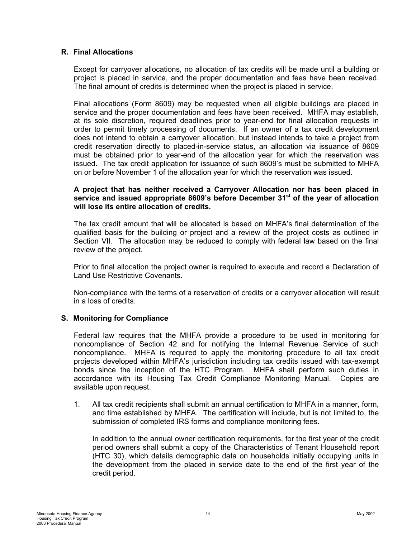#### <span id="page-16-0"></span>**R. Final Allocations**

Except for carryover allocations, no allocation of tax credits will be made until a building or project is placed in service, and the proper documentation and fees have been received. The final amount of credits is determined when the project is placed in service.

Final allocations (Form 8609) may be requested when all eligible buildings are placed in service and the proper documentation and fees have been received. MHFA may establish, at its sole discretion, required deadlines prior to year-end for final allocation requests in order to permit timely processing of documents. If an owner of a tax credit development does not intend to obtain a carryover allocation, but instead intends to take a project from credit reservation directly to placed-in-service status, an allocation via issuance of 8609 must be obtained prior to year-end of the allocation year for which the reservation was issued. The tax credit application for issuance of such 8609's must be submitted to MHFA on or before November 1 of the allocation year for which the reservation was issued.

#### **A project that has neither received a Carryover Allocation nor has been placed in service and issued appropriate 8609's before December 31st of the year of allocation will lose its entire allocation of credits.**

The tax credit amount that will be allocated is based on MHFA's final determination of the qualified basis for the building or project and a review of the project costs as outlined in Section VII. The allocation may be reduced to comply with federal law based on the final review of the project.

Prior to final allocation the project owner is required to execute and record a Declaration of Land Use Restrictive Covenants.

Non-compliance with the terms of a reservation of credits or a carryover allocation will result in a loss of credits.

#### **S. Monitoring for Compliance**

Federal law requires that the MHFA provide a procedure to be used in monitoring for noncompliance of Section 42 and for notifying the Internal Revenue Service of such noncompliance. MHFA is required to apply the monitoring procedure to all tax credit projects developed within MHFA's jurisdiction including tax credits issued with tax-exempt bonds since the inception of the HTC Program. MHFA shall perform such duties in accordance with its Housing Tax Credit Compliance Monitoring Manual. Copies are available upon request.

1. All tax credit recipients shall submit an annual certification to MHFA in a manner, form, and time established by MHFA. The certification will include, but is not limited to, the submission of completed IRS forms and compliance monitoring fees.

In addition to the annual owner certification requirements, for the first year of the credit period owners shall submit a copy of the Characteristics of Tenant Household report (HTC 30), which details demographic data on households initially occupying units in the development from the placed in service date to the end of the first year of the credit period.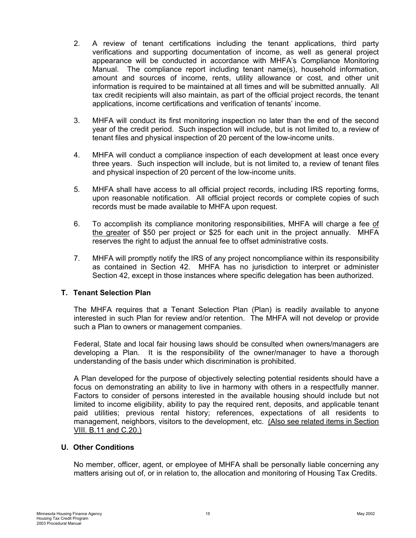- <span id="page-17-0"></span>2. A review of tenant certifications including the tenant applications, third party verifications and supporting documentation of income, as well as general project appearance will be conducted in accordance with MHFA's Compliance Monitoring Manual. The compliance report including tenant name(s), household information, amount and sources of income, rents, utility allowance or cost, and other unit information is required to be maintained at all times and will be submitted annually. All tax credit recipients will also maintain, as part of the official project records, the tenant applications, income certifications and verification of tenants' income.
- 3. MHFA will conduct its first monitoring inspection no later than the end of the second year of the credit period. Such inspection will include, but is not limited to, a review of tenant files and physical inspection of 20 percent of the low-income units.
- 4. MHFA will conduct a compliance inspection of each development at least once every three years. Such inspection will include, but is not limited to, a review of tenant files and physical inspection of 20 percent of the low-income units.
- 5. MHFA shall have access to all official project records, including IRS reporting forms, upon reasonable notification. All official project records or complete copies of such records must be made available to MHFA upon request.
- 6. To accomplish its compliance monitoring responsibilities, MHFA will charge a fee of the greater of \$50 per project or \$25 for each unit in the project annually. MHFA reserves the right to adjust the annual fee to offset administrative costs.
- 7. MHFA will promptly notify the IRS of any project noncompliance within its responsibility as contained in Section 42. MHFA has no jurisdiction to interpret or administer Section 42, except in those instances where specific delegation has been authorized.

#### **T. Tenant Selection Plan**

The MHFA requires that a Tenant Selection Plan (Plan) is readily available to anyone interested in such Plan for review and/or retention. The MHFA will not develop or provide such a Plan to owners or management companies.

Federal, State and local fair housing laws should be consulted when owners/managers are developing a Plan. It is the responsibility of the owner/manager to have a thorough understanding of the basis under which discrimination is prohibited.

A Plan developed for the purpose of objectively selecting potential residents should have a focus on demonstrating an ability to live in harmony with others in a respectfully manner. Factors to consider of persons interested in the available housing should include but not limited to income eligibility, ability to pay the required rent, deposits, and applicable tenant paid utilities; previous rental history; references, expectations of all residents to management, neighbors, visitors to the development, etc. (Also see related items in Section VIII. B.11 and C.20.)

#### **U. Other Conditions**

No member, officer, agent, or employee of MHFA shall be personally liable concerning any matters arising out of, or in relation to, the allocation and monitoring of Housing Tax Credits.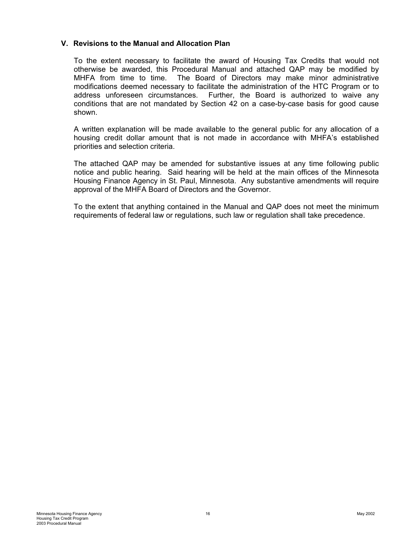#### <span id="page-18-0"></span>**V. Revisions to the Manual and Allocation Plan**

To the extent necessary to facilitate the award of Housing Tax Credits that would not otherwise be awarded, this Procedural Manual and attached QAP may be modified by MHFA from time to time. The Board of Directors may make minor administrative modifications deemed necessary to facilitate the administration of the HTC Program or to address unforeseen circumstances. Further, the Board is authorized to waive any conditions that are not mandated by Section 42 on a case-by-case basis for good cause shown.

A written explanation will be made available to the general public for any allocation of a housing credit dollar amount that is not made in accordance with MHFA's established priorities and selection criteria.

The attached QAP may be amended for substantive issues at any time following public notice and public hearing. Said hearing will be held at the main offices of the Minnesota Housing Finance Agency in St. Paul, Minnesota. Any substantive amendments will require approval of the MHFA Board of Directors and the Governor.

To the extent that anything contained in the Manual and QAP does not meet the minimum requirements of federal law or regulations, such law or regulation shall take precedence.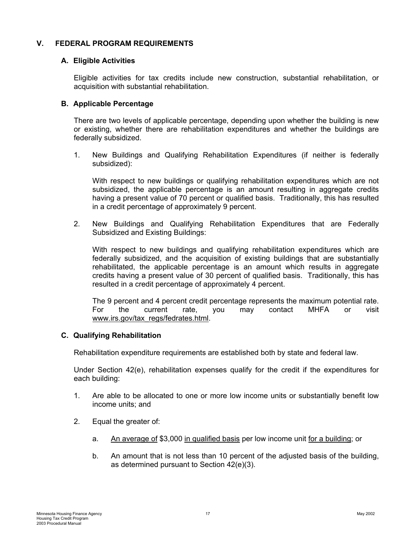#### <span id="page-19-0"></span>**V. FEDERAL PROGRAM REQUIREMENTS**

#### **A. Eligible Activities**

Eligible activities for tax credits include new construction, substantial rehabilitation, or acquisition with substantial rehabilitation.

#### **B. Applicable Percentage**

There are two levels of applicable percentage, depending upon whether the building is new or existing, whether there are rehabilitation expenditures and whether the buildings are federally subsidized.

1. New Buildings and Qualifying Rehabilitation Expenditures (if neither is federally subsidized):

With respect to new buildings or qualifying rehabilitation expenditures which are not subsidized, the applicable percentage is an amount resulting in aggregate credits having a present value of 70 percent or qualified basis. Traditionally, this has resulted in a credit percentage of approximately 9 percent.

2. New Buildings and Qualifying Rehabilitation Expenditures that are Federally Subsidized and Existing Buildings:

With respect to new buildings and qualifying rehabilitation expenditures which are federally subsidized, and the acquisition of existing buildings that are substantially rehabilitated, the applicable percentage is an amount which results in aggregate credits having a present value of 30 percent of qualified basis. Traditionally, this has resulted in a credit percentage of approximately 4 percent.

The 9 percent and 4 percent credit percentage represents the maximum potential rate. For the current rate, you may contact MHFA or visit [www.irs.gov/tax\\_regs/fedrates.html](http://www.irs.gov/tax_regs/fedrates.html).

#### **C. Qualifying Rehabilitation**

Rehabilitation expenditure requirements are established both by state and federal law.

Under Section 42(e), rehabilitation expenses qualify for the credit if the expenditures for each building:

- 1. Are able to be allocated to one or more low income units or substantially benefit low income units; and
- 2. Equal the greater of:
	- a. An average of \$3,000 in qualified basis per low income unit for a building; or
	- b. An amount that is not less than 10 percent of the adjusted basis of the building, as determined pursuant to Section 42(e)(3).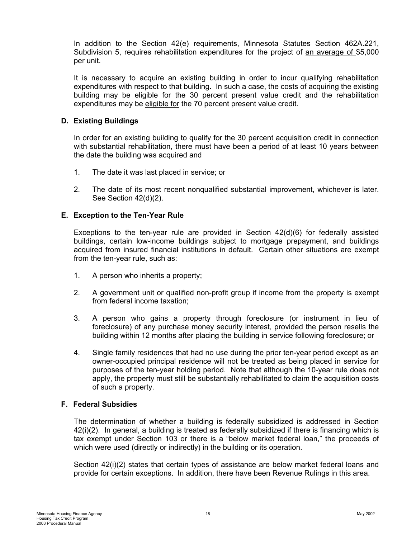<span id="page-20-0"></span>In addition to the Section 42(e) requirements, Minnesota Statutes Section 462A.221, Subdivision 5, requires rehabilitation expenditures for the project of an average of \$5,000 per unit.

It is necessary to acquire an existing building in order to incur qualifying rehabilitation expenditures with respect to that building. In such a case, the costs of acquiring the existing building may be eligible for the 30 percent present value credit and the rehabilitation expenditures may be eligible for the 70 percent present value credit.

#### **D. Existing Buildings**

In order for an existing building to qualify for the 30 percent acquisition credit in connection with substantial rehabilitation, there must have been a period of at least 10 years between the date the building was acquired and

- 1. The date it was last placed in service; or
- 2. The date of its most recent nonqualified substantial improvement, whichever is later. See Section 42(d)(2).

#### **E. Exception to the Ten-Year Rule**

Exceptions to the ten-year rule are provided in Section 42(d)(6) for federally assisted buildings, certain low-income buildings subject to mortgage prepayment, and buildings acquired from insured financial institutions in default. Certain other situations are exempt from the ten-year rule, such as:

- 1. A person who inherits a property;
- 2. A government unit or qualified non-profit group if income from the property is exempt from federal income taxation;
- 3. A person who gains a property through foreclosure (or instrument in lieu of foreclosure) of any purchase money security interest, provided the person resells the building within 12 months after placing the building in service following foreclosure; or
- 4. Single family residences that had no use during the prior ten-year period except as an owner-occupied principal residence will not be treated as being placed in service for purposes of the ten-year holding period. Note that although the 10-year rule does not apply, the property must still be substantially rehabilitated to claim the acquisition costs of such a property.

## **F. Federal Subsidies**

The determination of whether a building is federally subsidized is addressed in Section 42(i)(2). In general, a building is treated as federally subsidized if there is financing which is tax exempt under Section 103 or there is a "below market federal loan," the proceeds of which were used (directly or indirectly) in the building or its operation.

Section 42(i)(2) states that certain types of assistance are below market federal loans and provide for certain exceptions. In addition, there have been Revenue Rulings in this area.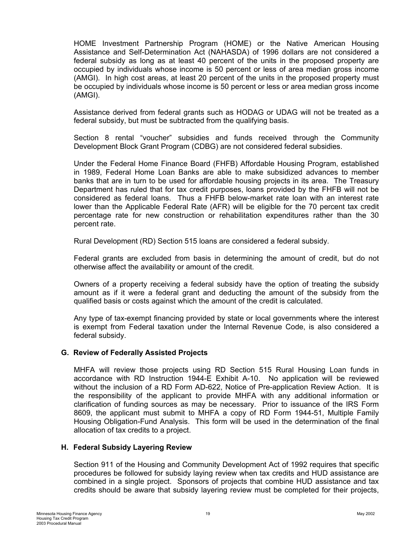<span id="page-21-0"></span>HOME Investment Partnership Program (HOME) or the Native American Housing Assistance and Self-Determination Act (NAHASDA) of 1996 dollars are not considered a federal subsidy as long as at least 40 percent of the units in the proposed property are occupied by individuals whose income is 50 percent or less of area median gross income (AMGI). In high cost areas, at least 20 percent of the units in the proposed property must be occupied by individuals whose income is 50 percent or less or area median gross income (AMGI).

Assistance derived from federal grants such as HODAG or UDAG will not be treated as a federal subsidy, but must be subtracted from the qualifying basis.

Section 8 rental "voucher" subsidies and funds received through the Community Development Block Grant Program (CDBG) are not considered federal subsidies.

Under the Federal Home Finance Board (FHFB) Affordable Housing Program, established in 1989, Federal Home Loan Banks are able to make subsidized advances to member banks that are in turn to be used for affordable housing projects in its area. The Treasury Department has ruled that for tax credit purposes, loans provided by the FHFB will not be considered as federal loans. Thus a FHFB below-market rate loan with an interest rate lower than the Applicable Federal Rate (AFR) will be eligible for the 70 percent tax credit percentage rate for new construction or rehabilitation expenditures rather than the 30 percent rate.

Rural Development (RD) Section 515 loans are considered a federal subsidy.

Federal grants are excluded from basis in determining the amount of credit, but do not otherwise affect the availability or amount of the credit.

Owners of a property receiving a federal subsidy have the option of treating the subsidy amount as if it were a federal grant and deducting the amount of the subsidy from the qualified basis or costs against which the amount of the credit is calculated.

Any type of tax-exempt financing provided by state or local governments where the interest is exempt from Federal taxation under the Internal Revenue Code, is also considered a federal subsidy.

#### **G. Review of Federally Assisted Projects**

MHFA will review those projects using RD Section 515 Rural Housing Loan funds in accordance with RD Instruction 1944-E Exhibit A-10. No application will be reviewed without the inclusion of a RD Form AD-622, Notice of Pre-application Review Action. It is the responsibility of the applicant to provide MHFA with any additional information or clarification of funding sources as may be necessary. Prior to issuance of the IRS Form 8609, the applicant must submit to MHFA a copy of RD Form 1944-51, Multiple Family Housing Obligation-Fund Analysis. This form will be used in the determination of the final allocation of tax credits to a project.

#### **H. Federal Subsidy Layering Review**

Section 911 of the Housing and Community Development Act of 1992 requires that specific procedures be followed for subsidy laying review when tax credits and HUD assistance are combined in a single project. Sponsors of projects that combine HUD assistance and tax credits should be aware that subsidy layering review must be completed for their projects,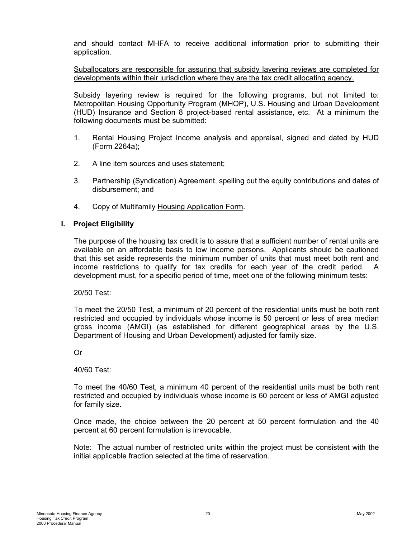<span id="page-22-0"></span>and should contact MHFA to receive additional information prior to submitting their application.

Suballocators are responsible for assuring that subsidy layering reviews are completed for developments within their jurisdiction where they are the tax credit allocating agency.

Subsidy layering review is required for the following programs, but not limited to: Metropolitan Housing Opportunity Program (MHOP), U.S. Housing and Urban Development (HUD) Insurance and Section 8 project-based rental assistance, etc. At a minimum the following documents must be submitted:

- 1. Rental Housing Project Income analysis and appraisal, signed and dated by HUD (Form 2264a);
- 2. A line item sources and uses statement;
- 3. Partnership (Syndication) Agreement, spelling out the equity contributions and dates of disbursement; and
- 4. Copy of Multifamily Housing Application Form.

#### **I. Project Eligibility**

The purpose of the housing tax credit is to assure that a sufficient number of rental units are available on an affordable basis to low income persons. Applicants should be cautioned that this set aside represents the minimum number of units that must meet both rent and income restrictions to qualify for tax credits for each year of the credit period. A development must, for a specific period of time, meet one of the following minimum tests:

20/50 Test:

To meet the 20/50 Test, a minimum of 20 percent of the residential units must be both rent restricted and occupied by individuals whose income is 50 percent or less of area median gross income (AMGI) (as established for different geographical areas by the U.S. Department of Housing and Urban Development) adjusted for family size.

Or

40/60 Test:

To meet the 40/60 Test, a minimum 40 percent of the residential units must be both rent restricted and occupied by individuals whose income is 60 percent or less of AMGI adjusted for family size.

Once made, the choice between the 20 percent at 50 percent formulation and the 40 percent at 60 percent formulation is irrevocable.

Note: The actual number of restricted units within the project must be consistent with the initial applicable fraction selected at the time of reservation.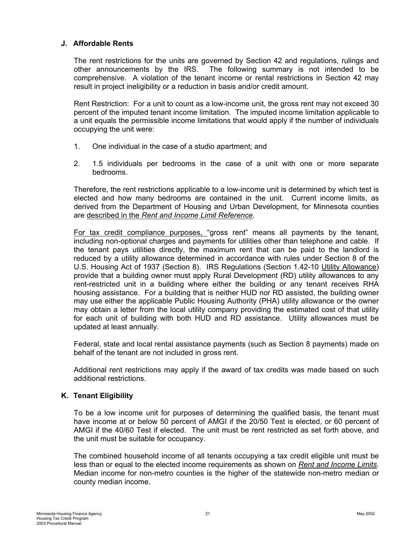#### <span id="page-23-0"></span>**J. Affordable Rents**

The rent restrictions for the units are governed by Section 42 and regulations, rulings and other announcements by the IRS. The following summary is not intended to be comprehensive. A violation of the tenant income or rental restrictions in Section 42 may result in project ineligibility or a reduction in basis and/or credit amount.

Rent Restriction: For a unit to count as a low-income unit, the gross rent may not exceed 30 percent of the imputed tenant income limitation. The imputed income limitation applicable to a unit equals the permissible income limitations that would apply if the number of individuals occupying the unit were:

- 1. One individual in the case of a studio apartment; and
- 2. 1.5 individuals per bedrooms in the case of a unit with one or more separate bedrooms.

Therefore, the rent restrictions applicable to a low-income unit is determined by which test is elected and how many bedrooms are contained in the unit. Current income limits, as derived from the Department of Housing and Urban Development, for Minnesota counties are described in the *Rent and Income Limit Reference*.

For tax credit compliance purposes, "gross rent" means all payments by the tenant, including non-optional charges and payments for utilities other than telephone and cable. If the tenant pays utilities directly, the maximum rent that can be paid to the landlord is reduced by a utility allowance determined in accordance with rules under Section 8 of the U.S. Housing Act of 1937 (Section 8). IRS Regulations (Section 1.42-10 Utility Allowance) provide that a building owner must apply Rural Development (RD) utility allowances to any rent-restricted unit in a building where either the building or any tenant receives RHA housing assistance. For a building that is neither HUD nor RD assisted, the building owner may use either the applicable Public Housing Authority (PHA) utility allowance or the owner may obtain a letter from the local utility company providing the estimated cost of that utility for each unit of building with both HUD and RD assistance. Utility allowances must be updated at least annually.

Federal, state and local rental assistance payments (such as Section 8 payments) made on behalf of the tenant are not included in gross rent.

Additional rent restrictions may apply if the award of tax credits was made based on such additional restrictions.

#### **K. Tenant Eligibility**

To be a low income unit for purposes of determining the qualified basis, the tenant must have income at or below 50 percent of AMGI if the 20/50 Test is elected, or 60 percent of AMGI if the 40/60 Test if elected. The unit must be rent restricted as set forth above, and the unit must be suitable for occupancy.

The combined household income of all tenants occupying a tax credit eligible unit must be less than or equal to the elected income requirements as shown on *Rent and Income Limits*. Median income for non-metro counties is the higher of the statewide non-metro median or county median income.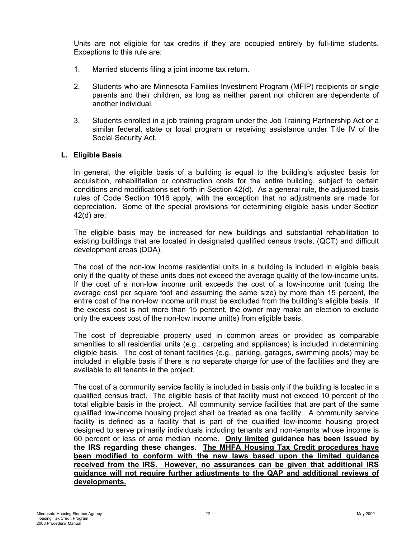<span id="page-24-0"></span>Units are not eligible for tax credits if they are occupied entirely by full-time students. Exceptions to this rule are:

- 1. Married students filing a joint income tax return.
- 2. Students who are Minnesota Families Investment Program (MFIP) recipients or single parents and their children, as long as neither parent nor children are dependents of another individual.
- 3. Students enrolled in a job training program under the Job Training Partnership Act or a similar federal, state or local program or receiving assistance under Title IV of the Social Security Act.

#### **L. Eligible Basis**

In general, the eligible basis of a building is equal to the building's adjusted basis for acquisition, rehabilitation or construction costs for the entire building, subject to certain conditions and modifications set forth in Section 42(d). As a general rule, the adjusted basis rules of Code Section 1016 apply, with the exception that no adjustments are made for depreciation. Some of the special provisions for determining eligible basis under Section 42(d) are:

The eligible basis may be increased for new buildings and substantial rehabilitation to existing buildings that are located in designated qualified census tracts, (QCT) and difficult development areas (DDA).

The cost of the non-low income residential units in a building is included in eligible basis only if the quality of these units does not exceed the average quality of the low-income units. If the cost of a non-low income unit exceeds the cost of a low-income unit (using the average cost per square foot and assuming the same size) by more than 15 percent, the entire cost of the non-low income unit must be excluded from the building's eligible basis. If the excess cost is not more than 15 percent, the owner may make an election to exclude only the excess cost of the non-low income unit(s) from eligible basis.

The cost of depreciable property used in common areas or provided as comparable amenities to all residential units (e.g., carpeting and appliances) is included in determining eligible basis. The cost of tenant facilities (e.g., parking, garages, swimming pools) may be included in eligible basis if there is no separate charge for use of the facilities and they are available to all tenants in the project.

The cost of a community service facility is included in basis only if the building is located in a qualified census tract. The eligible basis of that facility must not exceed 10 percent of the total eligible basis in the project. All community service facilities that are part of the same qualified low-income housing project shall be treated as one facility. A community service facility is defined as a facility that is part of the qualified low-income housing project designed to serve primarily individuals including tenants and non-tenants whose income is 60 percent or less of area median income. **Only limited guidance has been issued by the IRS regarding these changes. The MHFA Housing Tax Credit procedures have been modified to conform with the new laws based upon the limited guidance received from the IRS. However, no assurances can be given that additional IRS guidance will not require further adjustments to the QAP and additional reviews of developments.**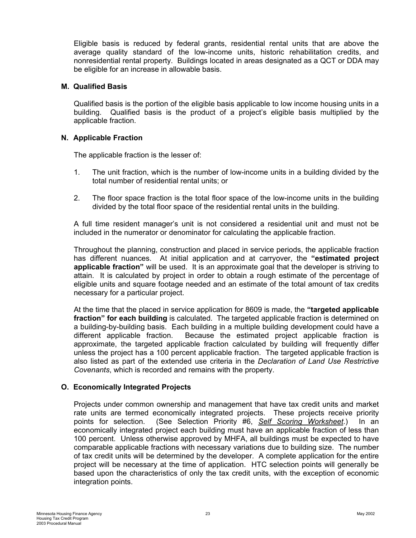<span id="page-25-0"></span>Eligible basis is reduced by federal grants, residential rental units that are above the average quality standard of the low-income units, historic rehabilitation credits, and nonresidential rental property. Buildings located in areas designated as a QCT or DDA may be eligible for an increase in allowable basis.

#### **M. Qualified Basis**

Qualified basis is the portion of the eligible basis applicable to low income housing units in a building. Qualified basis is the product of a project's eligible basis multiplied by the applicable fraction.

#### **N. Applicable Fraction**

The applicable fraction is the lesser of:

- 1. The unit fraction, which is the number of low-income units in a building divided by the total number of residential rental units; or
- 2. The floor space fraction is the total floor space of the low-income units in the building divided by the total floor space of the residential rental units in the building.

A full time resident manager's unit is not considered a residential unit and must not be included in the numerator or denominator for calculating the applicable fraction.

Throughout the planning, construction and placed in service periods, the applicable fraction has different nuances. At initial application and at carryover, the **"estimated project applicable fraction"** will be used. It is an approximate goal that the developer is striving to attain. It is calculated by project in order to obtain a rough estimate of the percentage of eligible units and square footage needed and an estimate of the total amount of tax credits necessary for a particular project.

At the time that the placed in service application for 8609 is made, the **"targeted applicable fraction" for each building** is calculated. The targeted applicable fraction is determined on a building-by-building basis. Each building in a multiple building development could have a different applicable fraction. Because the estimated project applicable fraction is approximate, the targeted applicable fraction calculated by building will frequently differ unless the project has a 100 percent applicable fraction. The targeted applicable fraction is also listed as part of the extended use criteria in the *Declaration of Land Use Restrictive Covenants*, which is recorded and remains with the property.

#### **O. Economically Integrated Projects**

Projects under common ownership and management that have tax credit units and market rate units are termed economically integrated projects. These projects receive priority points for selection. (See Selection Priority #6, *Self Scoring Worksheet*.) In an economically integrated project each building must have an applicable fraction of less than 100 percent. Unless otherwise approved by MHFA, all buildings must be expected to have comparable applicable fractions with necessary variations due to building size. The number of tax credit units will be determined by the developer. A complete application for the entire project will be necessary at the time of application. HTC selection points will generally be based upon the characteristics of only the tax credit units, with the exception of economic integration points.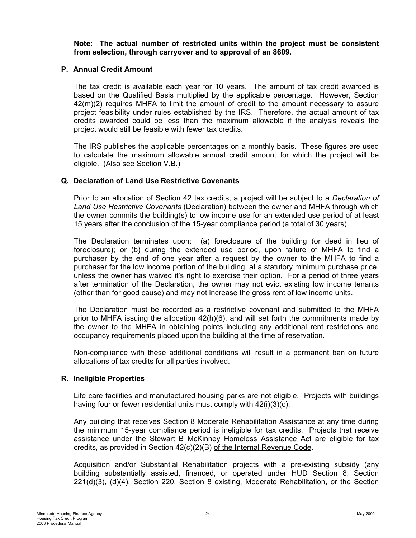<span id="page-26-0"></span>**Note: The actual number of restricted units within the project must be consistent from selection, through carryover and to approval of an 8609.** 

#### **P. Annual Credit Amount**

The tax credit is available each year for 10 years. The amount of tax credit awarded is based on the Qualified Basis multiplied by the applicable percentage. However, Section 42(m)(2) requires MHFA to limit the amount of credit to the amount necessary to assure project feasibility under rules established by the IRS. Therefore, the actual amount of tax credits awarded could be less than the maximum allowable if the analysis reveals the project would still be feasible with fewer tax credits.

The IRS publishes the applicable percentages on a monthly basis. These figures are used to calculate the maximum allowable annual credit amount for which the project will be eligible. (Also see Section V.B.)

#### **Q. Declaration of Land Use Restrictive Covenants**

Prior to an allocation of Section 42 tax credits, a project will be subject to a *Declaration of Land Use Restrictive Covenants* (Declaration) between the owner and MHFA through which the owner commits the building(s) to low income use for an extended use period of at least 15 years after the conclusion of the 15-year compliance period (a total of 30 years).

The Declaration terminates upon: (a) foreclosure of the building (or deed in lieu of foreclosure); or (b) during the extended use period, upon failure of MHFA to find a purchaser by the end of one year after a request by the owner to the MHFA to find a purchaser for the low income portion of the building, at a statutory minimum purchase price, unless the owner has waived it's right to exercise their option. For a period of three years after termination of the Declaration, the owner may not evict existing low income tenants (other than for good cause) and may not increase the gross rent of low income units.

The Declaration must be recorded as a restrictive covenant and submitted to the MHFA prior to MHFA issuing the allocation 42(h)(6), and will set forth the commitments made by the owner to the MHFA in obtaining points including any additional rent restrictions and occupancy requirements placed upon the building at the time of reservation.

Non-compliance with these additional conditions will result in a permanent ban on future allocations of tax credits for all parties involved.

#### **R. Ineligible Properties**

Life care facilities and manufactured housing parks are not eligible. Projects with buildings having four or fewer residential units must comply with 42(i)(3)(c).

Any building that receives Section 8 Moderate Rehabilitation Assistance at any time during the minimum 15-year compliance period is ineligible for tax credits. Projects that receive assistance under the Stewart B McKinney Homeless Assistance Act are eligible for tax credits, as provided in Section 42(c)(2)(B) of the Internal Revenue Code.

Acquisition and/or Substantial Rehabilitation projects with a pre-existing subsidy (any building substantially assisted, financed, or operated under HUD Section 8, Section 221(d)(3), (d)(4), Section 220, Section 8 existing, Moderate Rehabilitation, or the Section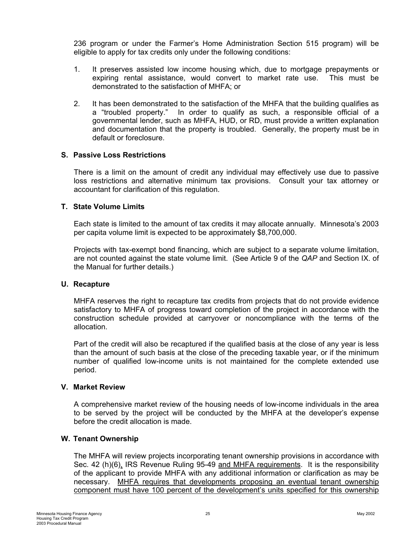<span id="page-27-0"></span>236 program or under the Farmer's Home Administration Section 515 program) will be eligible to apply for tax credits only under the following conditions:

- 1. It preserves assisted low income housing which, due to mortgage prepayments or expiring rental assistance, would convert to market rate use. This must be demonstrated to the satisfaction of MHFA; or
- 2. It has been demonstrated to the satisfaction of the MHFA that the building qualifies as a "troubled property." In order to qualify as such, a responsible official of a governmental lender, such as MHFA, HUD, or RD, must provide a written explanation and documentation that the property is troubled. Generally, the property must be in default or foreclosure.

#### **S. Passive Loss Restrictions**

There is a limit on the amount of credit any individual may effectively use due to passive loss restrictions and alternative minimum tax provisions. Consult your tax attorney or accountant for clarification of this regulation.

#### **T. State Volume Limits**

Each state is limited to the amount of tax credits it may allocate annually. Minnesota's 2003 per capita volume limit is expected to be approximately \$8,700,000.

Projects with tax-exempt bond financing, which are subject to a separate volume limitation, are not counted against the state volume limit. (See Article 9 of the *QAP* and Section IX. of the Manual for further details.)

#### **U. Recapture**

MHFA reserves the right to recapture tax credits from projects that do not provide evidence satisfactory to MHFA of progress toward completion of the project in accordance with the construction schedule provided at carryover or noncompliance with the terms of the allocation.

Part of the credit will also be recaptured if the qualified basis at the close of any year is less than the amount of such basis at the close of the preceding taxable year, or if the minimum number of qualified low-income units is not maintained for the complete extended use period.

#### **V. Market Review**

A comprehensive market review of the housing needs of low-income individuals in the area to be served by the project will be conducted by the MHFA at the developer's expense before the credit allocation is made.

# **W. Tenant Ownership**

The MHFA will review projects incorporating tenant ownership provisions in accordance with Sec. 42 (h)(6), IRS Revenue Ruling 95-49 and MHFA requirements. It is the responsibility of the applicant to provide MHFA with any additional information or clarification as may be necessary. MHFA requires that developments proposing an eventual tenant ownership component must have 100 percent of the development's units specified for this ownership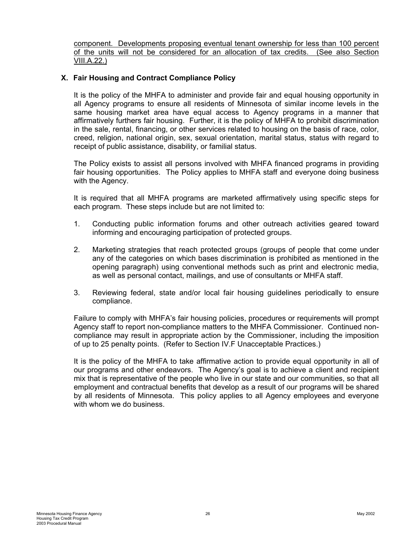<span id="page-28-0"></span>component. Developments proposing eventual tenant ownership for less than 100 percent of the units will not be considered for an allocation of tax credits. (See also Section VIII.A.22.)

#### **X. Fair Housing and Contract Compliance Policy**

It is the policy of the MHFA to administer and provide fair and equal housing opportunity in all Agency programs to ensure all residents of Minnesota of similar income levels in the same housing market area have equal access to Agency programs in a manner that affirmatively furthers fair housing. Further, it is the policy of MHFA to prohibit discrimination in the sale, rental, financing, or other services related to housing on the basis of race, color, creed, religion, national origin, sex, sexual orientation, marital status, status with regard to receipt of public assistance, disability, or familial status.

The Policy exists to assist all persons involved with MHFA financed programs in providing fair housing opportunities. The Policy applies to MHFA staff and everyone doing business with the Agency.

It is required that all MHFA programs are marketed affirmatively using specific steps for each program. These steps include but are not limited to:

- 1. Conducting public information forums and other outreach activities geared toward informing and encouraging participation of protected groups.
- 2. Marketing strategies that reach protected groups (groups of people that come under any of the categories on which bases discrimination is prohibited as mentioned in the opening paragraph) using conventional methods such as print and electronic media, as well as personal contact, mailings, and use of consultants or MHFA staff.
- 3. Reviewing federal, state and/or local fair housing guidelines periodically to ensure compliance.

Failure to comply with MHFA's fair housing policies, procedures or requirements will prompt Agency staff to report non-compliance matters to the MHFA Commissioner. Continued noncompliance may result in appropriate action by the Commissioner, including the imposition of up to 25 penalty points. (Refer to Section IV.F Unacceptable Practices.)

It is the policy of the MHFA to take affirmative action to provide equal opportunity in all of our programs and other endeavors. The Agency's goal is to achieve a client and recipient mix that is representative of the people who live in our state and our communities, so that all employment and contractual benefits that develop as a result of our programs will be shared by all residents of Minnesota. This policy applies to all Agency employees and everyone with whom we do business.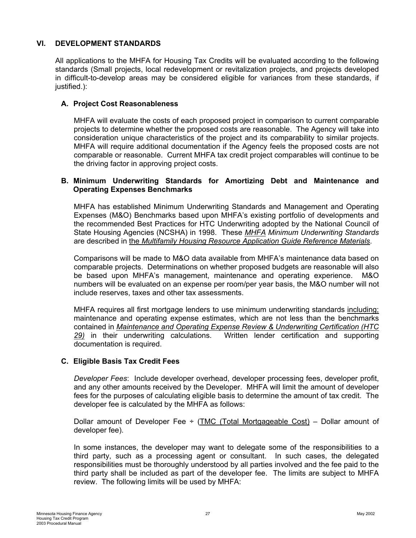#### <span id="page-29-0"></span>**VI. DEVELOPMENT STANDARDS**

All applications to the MHFA for Housing Tax Credits will be evaluated according to the following standards (Small projects, local redevelopment or revitalization projects, and projects developed in difficult-to-develop areas may be considered eligible for variances from these standards, if justified.):

#### **A. Project Cost Reasonableness**

MHFA will evaluate the costs of each proposed project in comparison to current comparable projects to determine whether the proposed costs are reasonable. The Agency will take into consideration unique characteristics of the project and its comparability to similar projects. MHFA will require additional documentation if the Agency feels the proposed costs are not comparable or reasonable. Current MHFA tax credit project comparables will continue to be the driving factor in approving project costs.

#### **B. Minimum Underwriting Standards for Amortizing Debt and Maintenance and Operating Expenses Benchmarks**

MHFA has established Minimum Underwriting Standards and Management and Operating Expenses (M&O) Benchmarks based upon MHFA's existing portfolio of developments and the recommended Best Practices for HTC Underwriting adopted by the National Council of State Housing Agencies (NCSHA) in 1998. These *MHFA Minimum Underwriting Standards* are described in the *Multifamily Housing Resource Application Guide Reference Materials*.

Comparisons will be made to M&O data available from MHFA's maintenance data based on comparable projects. Determinations on whether proposed budgets are reasonable will also be based upon MHFA's management, maintenance and operating experience. M&O numbers will be evaluated on an expense per room/per year basis, the M&O number will not include reserves, taxes and other tax assessments.

MHFA requires all first mortgage lenders to use minimum underwriting standards including; maintenance and operating expense estimates, which are not less than the benchmarks contained in *Maintenance and Operating Expense Review & Underwriting Certification (HTC 29)* in their underwriting calculations. Written lender certification and supporting documentation is required.

#### **C. Eligible Basis Tax Credit Fees**

*Developer Fees*: Include developer overhead, developer processing fees, developer profit, and any other amounts received by the Developer. MHFA will limit the amount of developer fees for the purposes of calculating eligible basis to determine the amount of tax credit. The developer fee is calculated by the MHFA as follows:

Dollar amount of Developer Fee  $\div$  (TMC (Total Mortgageable Cost) – Dollar amount of developer fee).

In some instances, the developer may want to delegate some of the responsibilities to a third party, such as a processing agent or consultant. In such cases, the delegated responsibilities must be thoroughly understood by all parties involved and the fee paid to the third party shall be included as part of the developer fee. The limits are subject to MHFA review. The following limits will be used by MHFA: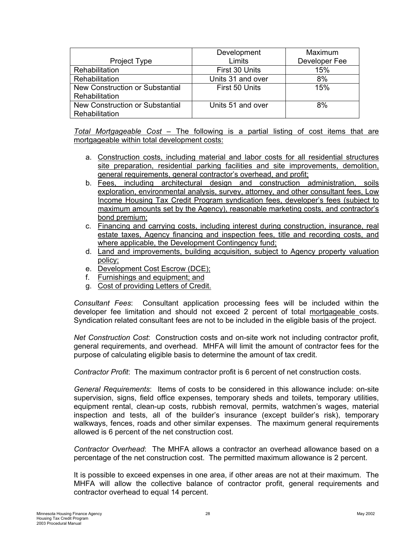|                                 | Development       | Maximum       |
|---------------------------------|-------------------|---------------|
| <b>Project Type</b>             | Limits            | Developer Fee |
| Rehabilitation                  | First 30 Units    | 15%           |
| Rehabilitation                  | Units 31 and over | 8%            |
| New Construction or Substantial | First 50 Units    | 15%           |
| Rehabilitation                  |                   |               |
| New Construction or Substantial | Units 51 and over | 8%            |
| Rehabilitation                  |                   |               |

*Total Mortgageable Cost –* The following is a partial listing of cost items that are mortgageable within total development costs:

- a. Construction costs, including material and labor costs for all residential structures site preparation, residential parking facilities and site improvements, demolition, general requirements, general contractor's overhead, and profit;
- b. Fees, including architectural design and construction administration, soils exploration, environmental analysis, survey, attorney, and other consultant fees, Low Income Housing Tax Credit Program syndication fees, developer's fees (subject to maximum amounts set by the Agency), reasonable marketing costs, and contractor's bond premium;
- c. Financing and carrying costs, including interest during construction, insurance, real estate taxes, Agency financing and inspection fees, title and recording costs, and where applicable, the Development Contingency fund;
- d. Land and improvements, building acquisition, subject to Agency property valuation policy;
- e. Development Cost Escrow (DCE);
- f. Furnishings and equipment; and
- g. Cost of providing Letters of Credit.

*Consultant Fees*: Consultant application processing fees will be included within the developer fee limitation and should not exceed 2 percent of total mortgageable costs. Syndication related consultant fees are not to be included in the eligible basis of the project.

*Net Construction Cost*: Construction costs and on-site work not including contractor profit, general requirements, and overhead. MHFA will limit the amount of contractor fees for the purpose of calculating eligible basis to determine the amount of tax credit.

*Contractor Profit*: The maximum contractor profit is 6 percent of net construction costs.

*General Requirements*: Items of costs to be considered in this allowance include: on-site supervision, signs, field office expenses, temporary sheds and toilets, temporary utilities, equipment rental, clean-up costs, rubbish removal, permits, watchmen's wages, material inspection and tests, all of the builder's insurance (except builder's risk), temporary walkways, fences, roads and other similar expenses. The maximum general requirements allowed is 6 percent of the net construction cost.

*Contractor Overhead*: The MHFA allows a contractor an overhead allowance based on a percentage of the net construction cost. The permitted maximum allowance is 2 percent.

It is possible to exceed expenses in one area, if other areas are not at their maximum. The MHFA will allow the collective balance of contractor profit, general requirements and contractor overhead to equal 14 percent.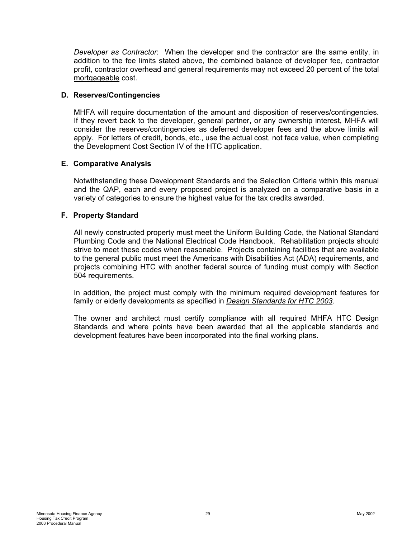<span id="page-31-0"></span>*Developer as Contractor*: When the developer and the contractor are the same entity, in addition to the fee limits stated above, the combined balance of developer fee, contractor profit, contractor overhead and general requirements may not exceed 20 percent of the total mortgageable cost.

#### **D. Reserves/Contingencies**

MHFA will require documentation of the amount and disposition of reserves/contingencies. If they revert back to the developer, general partner, or any ownership interest, MHFA will consider the reserves/contingencies as deferred developer fees and the above limits will apply. For letters of credit, bonds, etc., use the actual cost, not face value, when completing the Development Cost Section IV of the HTC application.

#### **E. Comparative Analysis**

Notwithstanding these Development Standards and the Selection Criteria within this manual and the QAP, each and every proposed project is analyzed on a comparative basis in a variety of categories to ensure the highest value for the tax credits awarded.

#### **F. Property Standard**

All newly constructed property must meet the Uniform Building Code, the National Standard Plumbing Code and the National Electrical Code Handbook. Rehabilitation projects should strive to meet these codes when reasonable. Projects containing facilities that are available to the general public must meet the Americans with Disabilities Act (ADA) requirements, and projects combining HTC with another federal source of funding must comply with Section 504 requirements.

In addition, the project must comply with the minimum required development features for family or elderly developments as specified in *Design Standards for HTC 2003*.

The owner and architect must certify compliance with all required MHFA HTC Design Standards and where points have been awarded that all the applicable standards and development features have been incorporated into the final working plans.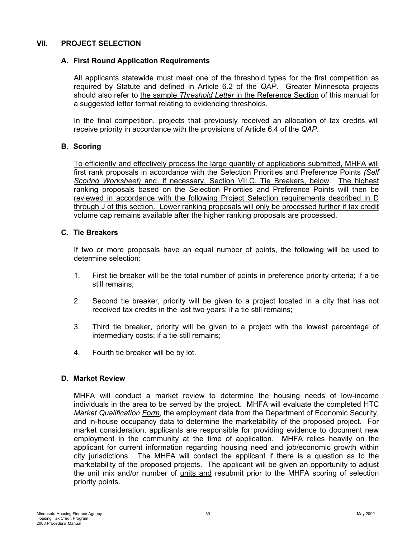#### <span id="page-32-0"></span>**VII. PROJECT SELECTION**

#### **A. First Round Application Requirements**

All applicants statewide must meet one of the threshold types for the first competition as required by Statute and defined in Article 6.2 of the *QAP*. Greater Minnesota projects should also refer to the sample *Threshold Letter* in the Reference Section of this manual for a suggested letter format relating to evidencing thresholds.

In the final competition, projects that previously received an allocation of tax credits will receive priority in accordance with the provisions of Article 6.4 of the *QAP*.

#### **B. Scoring**

To efficiently and effectively process the large quantity of applications submitted, MHFA will first rank proposals in accordance with the Selection Priorities and Preference Points *(Self Scoring Worksheet)* and, if necessary, Section VII.C. Tie Breakers, below. The highest ranking proposals based on the Selection Priorities and Preference Points will then be reviewed in accordance with the following Project Selection requirements described in D through J of this section. Lower ranking proposals will only be processed further if tax credit volume cap remains available after the higher ranking proposals are processed.

#### **C. Tie Breakers**

If two or more proposals have an equal number of points, the following will be used to determine selection:

- 1. First tie breaker will be the total number of points in preference priority criteria; if a tie still remains;
- 2. Second tie breaker, priority will be given to a project located in a city that has not received tax credits in the last two years; if a tie still remains;
- 3. Third tie breaker, priority will be given to a project with the lowest percentage of intermediary costs; if a tie still remains;
- 4. Fourth tie breaker will be by lot.

#### **D. Market Review**

MHFA will conduct a market review to determine the housing needs of low-income individuals in the area to be served by the project. MHFA will evaluate the completed HTC *Market Qualification Form*, the employment data from the Department of Economic Security, and in-house occupancy data to determine the marketability of the proposed project. For market consideration, applicants are responsible for providing evidence to document new employment in the community at the time of application. MHFA relies heavily on the applicant for current information regarding housing need and job/economic growth within city jurisdictions. The MHFA will contact the applicant if there is a question as to the marketability of the proposed projects. The applicant will be given an opportunity to adjust the unit mix and/or number of units and resubmit prior to the MHFA scoring of selection priority points.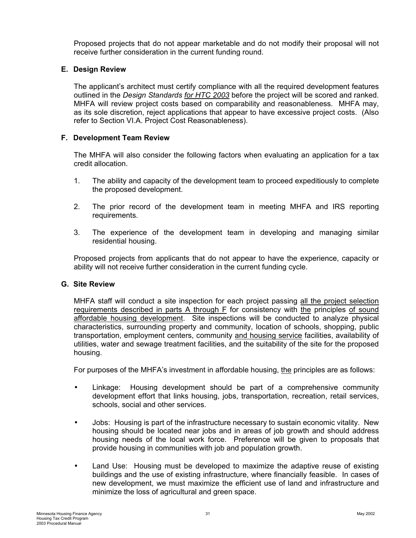<span id="page-33-0"></span>Proposed projects that do not appear marketable and do not modify their proposal will not receive further consideration in the current funding round.

#### **E. Design Review**

The applicant's architect must certify compliance with all the required development features outlined in the *Design Standards for HTC 2003* before the project will be scored and ranked. MHFA will review project costs based on comparability and reasonableness. MHFA may, as its sole discretion, reject applications that appear to have excessive project costs. (Also refer to Section VI.A. Project Cost Reasonableness).

#### **F. Development Team Review**

The MHFA will also consider the following factors when evaluating an application for a tax credit allocation.

- 1. The ability and capacity of the development team to proceed expeditiously to complete the proposed development.
- 2. The prior record of the development team in meeting MHFA and IRS reporting requirements.
- 3. The experience of the development team in developing and managing similar residential housing.

Proposed projects from applicants that do not appear to have the experience, capacity or ability will not receive further consideration in the current funding cycle.

#### **G. Site Review**

MHFA staff will conduct a site inspection for each project passing all the project selection requirements described in parts A through F for consistency with the principles of sound affordable housing development. Site inspections will be conducted to analyze physical characteristics, surrounding property and community, location of schools, shopping, public transportation, employment centers, community and housing service facilities, availability of utilities, water and sewage treatment facilities, and the suitability of the site for the proposed housing.

For purposes of the MHFA's investment in affordable housing, the principles are as follows:

- Linkage: Housing development should be part of a comprehensive community development effort that links housing, jobs, transportation, recreation, retail services, schools, social and other services.
- Jobs: Housing is part of the infrastructure necessary to sustain economic vitality. New housing should be located near jobs and in areas of job growth and should address housing needs of the local work force. Preference will be given to proposals that provide housing in communities with job and population growth.
- Land Use: Housing must be developed to maximize the adaptive reuse of existing buildings and the use of existing infrastructure, where financially feasible. In cases of new development, we must maximize the efficient use of land and infrastructure and minimize the loss of agricultural and green space.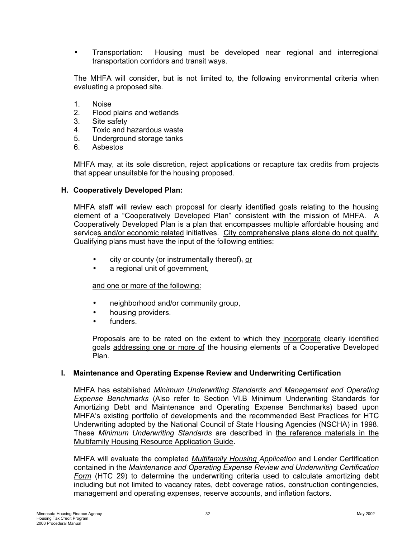<span id="page-34-0"></span>• Transportation: Housing must be developed near regional and interregional transportation corridors and transit ways.

The MHFA will consider, but is not limited to, the following environmental criteria when evaluating a proposed site.

- 1. Noise
- 2. Flood plains and wetlands
- 3. Site safety
- 4. Toxic and hazardous waste
- 5. Underground storage tanks
- 6. Asbestos

MHFA may, at its sole discretion, reject applications or recapture tax credits from projects that appear unsuitable for the housing proposed.

#### **H. Cooperatively Developed Plan:**

MHFA staff will review each proposal for clearly identified goals relating to the housing element of a "Cooperatively Developed Plan" consistent with the mission of MHFA. A Cooperatively Developed Plan is a plan that encompasses multiple affordable housing and services and/or economic related initiatives. City comprehensive plans alone do not qualify. Qualifying plans must have the input of the following entities:

- $\bullet$  city or county (or instrumentally thereof), or
- a regional unit of government,

#### and one or more of the following:

- neighborhood and/or community group,
- housing providers.
- funders.

Proposals are to be rated on the extent to which they incorporate clearly identified goals addressing one or more of the housing elements of a Cooperative Developed Plan.

#### **I. Maintenance and Operating Expense Review and Underwriting Certification**

MHFA has established *Minimum Underwriting Standards and Management and Operating Expense Benchmarks* (Also refer to Section VI.B Minimum Underwriting Standards for Amortizing Debt and Maintenance and Operating Expense Benchmarks) based upon MHFA's existing portfolio of developments and the recommended Best Practices for HTC Underwriting adopted by the National Council of State Housing Agencies (NSCHA) in 1998. These *Minimum Underwriting Standards* are described in the reference materials in the Multifamily Housing Resource Application Guide.

MHFA will evaluate the completed *Multifamily Housing Application* and Lender Certification contained in the *Maintenance and Operating Expense Review and Underwriting Certification Form* (HTC 29) to determine the underwriting criteria used to calculate amortizing debt including but not limited to vacancy rates, debt coverage ratios, construction contingencies, management and operating expenses, reserve accounts, and inflation factors.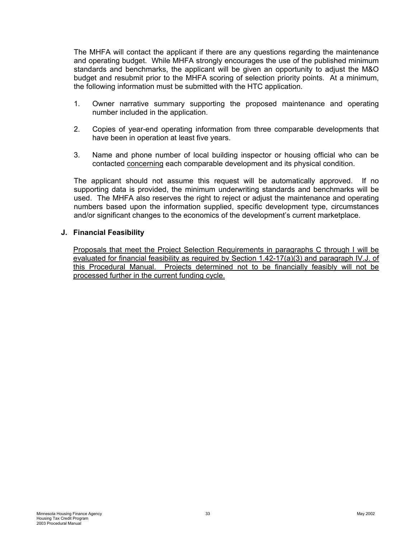<span id="page-35-0"></span>The MHFA will contact the applicant if there are any questions regarding the maintenance and operating budget. While MHFA strongly encourages the use of the published minimum standards and benchmarks, the applicant will be given an opportunity to adjust the M&O budget and resubmit prior to the MHFA scoring of selection priority points. At a minimum, the following information must be submitted with the HTC application.

- 1. Owner narrative summary supporting the proposed maintenance and operating number included in the application.
- 2. Copies of year-end operating information from three comparable developments that have been in operation at least five years.
- 3. Name and phone number of local building inspector or housing official who can be contacted concerning each comparable development and its physical condition.

The applicant should not assume this request will be automatically approved. If no supporting data is provided, the minimum underwriting standards and benchmarks will be used. The MHFA also reserves the right to reject or adjust the maintenance and operating numbers based upon the information supplied, specific development type, circumstances and/or significant changes to the economics of the development's current marketplace.

#### **J. Financial Feasibility**

Proposals that meet the Project Selection Requirements in paragraphs C through I will be evaluated for financial feasibility as required by Section 1.42-17(a)(3) and paragraph IV.J. of this Procedural Manual. Projects determined not to be financially feasibly will not be processed further in the current funding cycle.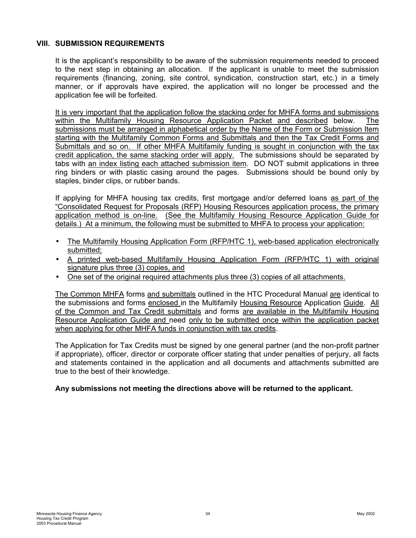#### <span id="page-36-0"></span>**VIII. SUBMISSION REQUIREMENTS**

It is the applicant's responsibility to be aware of the submission requirements needed to proceed to the next step in obtaining an allocation. If the applicant is unable to meet the submission requirements (financing, zoning, site control, syndication, construction start, etc.) in a timely manner, or if approvals have expired, the application will no longer be processed and the application fee will be forfeited.

It is very important that the application follow the stacking order for MHFA forms and submissions within the Multifamily Housing Resource Application Packet and described below. The submissions must be arranged in alphabetical order by the Name of the Form or Submission Item starting with the Multifamily Common Forms and Submittals and then the Tax Credit Forms and Submittals and so on. If other MHFA Multifamily funding is sought in conjunction with the tax credit application, the same stacking order will apply. The submissions should be separated by tabs with an index listing each attached submission item. DO NOT submit applications in three ring binders or with plastic casing around the pages. Submissions should be bound only by staples, binder clips, or rubber bands.

If applying for MHFA housing tax credits, first mortgage and/or deferred loans as part of the "Consolidated Request for Proposals (RFP) Housing Resources application process, the primary application method is on-line. (See the Multifamily Housing Resource Application Guide for details.) At a minimum, the following must be submitted to MHFA to process your application:

- The Multifamily Housing Application Form (RFP/HTC 1), web-based application electronically submitted;
- A printed web-based Multifamily Housing Application Form (RFP/HTC 1) with original signature plus three (3) copies, and
- One set of the original required attachments plus three (3) copies of all attachments.

The Common MHFA forms and submittals outlined in the HTC Procedural Manual are identical to the submissions and forms enclosed in the Multifamily Housing Resource Application Guide. All of the Common and Tax Credit submittals and forms are available in the Multifamily Housing Resource Application Guide and need only to be submitted once within the application packet when applying for other MHFA funds in conjunction with tax credits.

The Application for Tax Credits must be signed by one general partner (and the non-profit partner if appropriate), officer, director or corporate officer stating that under penalties of perjury, all facts and statements contained in the application and all documents and attachments submitted are true to the best of their knowledge.

#### **Any submissions not meeting the directions above will be returned to the applicant.**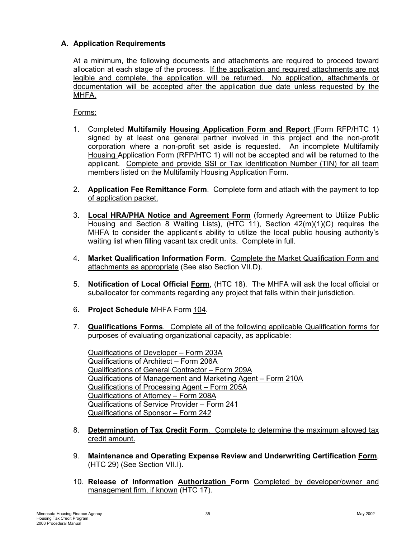# <span id="page-37-0"></span>**A. Application Requirements**

At a minimum, the following documents and attachments are required to proceed toward allocation at each stage of the process. If the application and required attachments are not legible and complete, the application will be returned. No application, attachments or documentation will be accepted after the application due date unless requested by the MHFA.

Forms:

- 1. Completed **Multifamily Housing Application Form and Report** (Form RFP/HTC 1) signed by at least one general partner involved in this project and the non-profit corporation where a non-profit set aside is requested. An incomplete Multifamily Housing Application Form (RFP/HTC 1) will not be accepted and will be returned to the applicant. Complete and provide SSI or Tax Identification Number (TIN) for all team members listed on the Multifamily Housing Application Form.
- 2. **Application Fee Remittance Form**. Complete form and attach with the payment to top of application packet.
- 3. **Local HRA/PHA Notice and Agreement Form** (formerly Agreement to Utilize Public Housing and Section 8 Waiting Lists**)**, (HTC 11), Section 42(m)(1)(C) requires the MHFA to consider the applicant's ability to utilize the local public housing authority's waiting list when filling vacant tax credit units. Complete in full.
- 4. **Market Qualification Information Form**. Complete the Market Qualification Form and attachments as appropriate (See also Section VII.D).
- 5. **Notification of Local Official Form**, (HTC 18). The MHFA will ask the local official or suballocator for comments regarding any project that falls within their jurisdiction.
- 6. **Project Schedule** MHFA Form 104.
- 7. **Qualifications Forms**. Complete all of the following applicable Qualification forms for purposes of evaluating organizational capacity, as applicable:

Qualifications of Developer – Form 203A Qualifications of Architect – Form 206A Qualifications of General Contractor – Form 209A Qualifications of Management and Marketing Agent – Form 210A Qualifications of Processing Agent – Form 205A Qualifications of Attorney – Form 208A Qualifications of Service Provider – Form 241 Qualifications of Sponsor – Form 242

- 8. **Determination of Tax Credit Form**. Complete to determine the maximum allowed tax credit amount.
- 9. **Maintenance and Operating Expense Review and Underwriting Certification Form**, (HTC 29) (See Section VII.I).
- 10. **Release of Information Authorization Form** Completed by developer/owner and management firm, if known (HTC 17).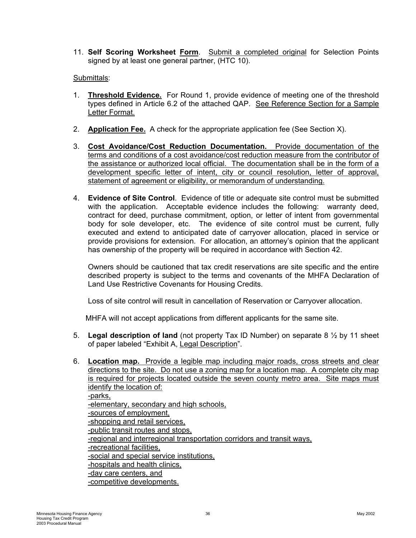11. **Self Scoring Worksheet Form**. Submit a completed original for Selection Points signed by at least one general partner, (HTC 10).

#### Submittals:

- 1. **Threshold Evidence.** For Round 1, provide evidence of meeting one of the threshold types defined in Article 6.2 of the attached QAP. See Reference Section for a Sample Letter Format.
- 2. **Application Fee.** A check for the appropriate application fee (See Section X).
- 3. **Cost Avoidance/Cost Reduction Documentation.** Provide documentation of the terms and conditions of a cost avoidance/cost reduction measure from the contributor of the assistance or authorized local official. The documentation shall be in the form of a development specific letter of intent, city or council resolution, letter of approval, statement of agreement or eligibility, or memorandum of understanding.
- 4. **Evidence of Site Control**. Evidence of title or adequate site control must be submitted with the application. Acceptable evidence includes the following: warranty deed, contract for deed, purchase commitment, option, or letter of intent from governmental body for sole developer, etc. The evidence of site control must be current, fully executed and extend to anticipated date of carryover allocation, placed in service or provide provisions for extension. For allocation, an attorney's opinion that the applicant has ownership of the property will be required in accordance with Section 42.

Owners should be cautioned that tax credit reservations are site specific and the entire described property is subject to the terms and covenants of the MHFA Declaration of Land Use Restrictive Covenants for Housing Credits.

Loss of site control will result in cancellation of Reservation or Carryover allocation.

MHFA will not accept applications from different applicants for the same site.

- 5. **Legal description of land** (not property Tax ID Number) on separate 8 ½ by 11 sheet of paper labeled "Exhibit A, Legal Description".
- 6. **Location map.** Provide a legible map including major roads, cross streets and clear directions to the site. Do not use a zoning map for a location map. A complete city map is required for projects located outside the seven county metro area. Site maps must identify the location of: -parks, -elementary, secondary and high schools, -sources of employment, -shopping and retail services, -public transit routes and stops, -regional and interregional transportation corridors and transit ways, -recreational facilities, -social and special service institutions, -hospitals and health clinics, -day care centers, and -competitive developments.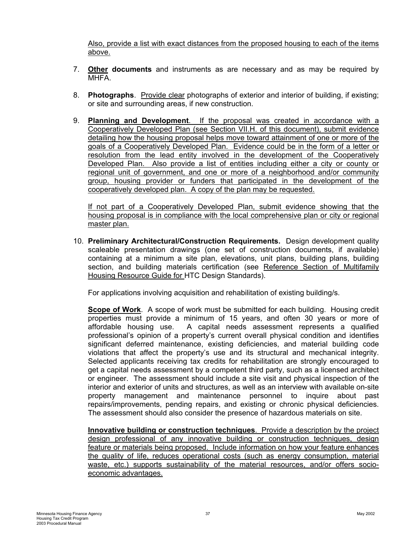Also, provide a list with exact distances from the proposed housing to each of the items above.

- 7. **Other documents** and instruments as are necessary and as may be required by MHFA.
- 8. **Photographs**. Provide clear photographs of exterior and interior of building, if existing; or site and surrounding areas, if new construction.
- 9. **Planning and Development**. If the proposal was created in accordance with a Cooperatively Developed Plan (see Section VII.H. of this document), submit evidence detailing how the housing proposal helps move toward attainment of one or more of the goals of a Cooperatively Developed Plan. Evidence could be in the form of a letter or resolution from the lead entity involved in the development of the Cooperatively Developed Plan. Also provide a list of entities including either a city or county or regional unit of government, and one or more of a neighborhood and/or community group, housing provider or funders that participated in the development of the cooperatively developed plan. A copy of the plan may be requested.

If not part of a Cooperatively Developed Plan, submit evidence showing that the housing proposal is in compliance with the local comprehensive plan or city or regional master plan.

10. **Preliminary Architectural/Construction Requirements.** Design development quality scaleable presentation drawings (one set of construction documents, if available) containing at a minimum a site plan, elevations, unit plans, building plans, building section, and building materials certification (see Reference Section of Multifamily Housing Resource Guide for HTC Design Standards).

For applications involving acquisition and rehabilitation of existing building/s.

**Scope of Work**. A scope of work must be submitted for each building. Housing credit properties must provide a minimum of 15 years, and often 30 years or more of affordable housing use. A capital needs assessment represents a qualified professional's opinion of a property's current overall physical condition and identifies significant deferred maintenance, existing deficiencies, and material building code violations that affect the property's use and its structural and mechanical integrity. Selected applicants receiving tax credits for rehabilitation are strongly encouraged to get a capital needs assessment by a competent third party, such as a licensed architect or engineer. The assessment should include a site visit and physical inspection of the interior and exterior of units and structures, as well as an interview with available on-site property management and maintenance personnel to inquire about past repairs/improvements, pending repairs, and existing or chronic physical deficiencies. The assessment should also consider the presence of hazardous materials on site.

**Innovative building or construction techniques**. Provide a description by the project design professional of any innovative building or construction techniques, design feature or materials being proposed. Include information on how your feature enhances the quality of life, reduces operational costs (such as energy consumption, material waste, etc.) supports sustainability of the material resources, and/or offers socioeconomic advantages.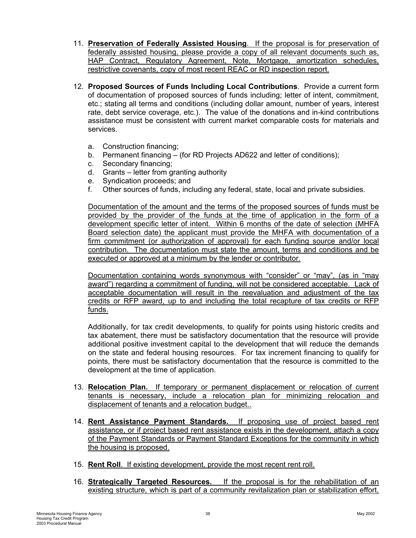- 11. **Preservation of Federally Assisted Housing**. If the proposal is for preservation of federally assisted housing, please provide a copy of all relevant documents such as, HAP Contract, Regulatory Agreement, Note, Mortgage, amortization schedules, restrictive covenants, copy of most recent REAC or RD inspection report.
- 12. **Proposed Sources of Funds Including Local Contributions**. Provide a current form of documentation of proposed sources of funds including; letter of intent, commitment, etc.; stating all terms and conditions (including dollar amount, number of years, interest rate, debt service coverage, etc.). The value of the donations and in-kind contributions assistance must be consistent with current market comparable costs for materials and services.
	- a. Construction financing;
	- b. Permanent financing (for RD Projects AD622 and letter of conditions);
	- c. Secondary financing;
	- d. Grants letter from granting authority
	- e. Syndication proceeds; and
	- f. Other sources of funds, including any federal, state, local and private subsidies.

Documentation of the amount and the terms of the proposed sources of funds must be provided by the provider of the funds at the time of application in the form of a development specific letter of intent. Within 6 months of the date of selection (MHFA Board selection date) the applicant must provide the MHFA with documentation of a firm commitment (or authorization of approval) for each funding source and/or local contribution. The documentation must state the amount, terms and conditions and be executed or approved at a minimum by the lender or contributor.

Documentation containing words synonymous with "consider" or "may", (as in "may award") regarding a commitment of funding, will not be considered acceptable. Lack of acceptable documentation will result in the reevaluation and adjustment of the tax credits or RFP award, up to and including the total recapture of tax credits or RFP funds.

Additionally, for tax credit developments, to qualify for points using historic credits and tax abatement, there must be satisfactory documentation that the resource will provide additional positive investment capital to the development that will reduce the demands on the state and federal housing resources. For tax increment financing to qualify for points, there must be satisfactory documentation that the resource is committed to the development at the time of application.

- 13. **Relocation Plan.** If temporary or permanent displacement or relocation of current tenants is necessary, include a relocation plan for minimizing relocation and displacement of tenants and a relocation budget..
- 14. **Rent Assistance Payment Standards.** If proposing use of project based rent assistance, or if project based rent assistance exists in the development, attach a copy of the Payment Standards or Payment Standard Exceptions for the community in which the housing is proposed.
- 15. **Rent Roll**. If existing development, provide the most recent rent roll.
- 16. **Strategically Targeted Resources.** If the proposal is for the rehabilitation of an existing structure, which is part of a community revitalization plan or stabilization effort,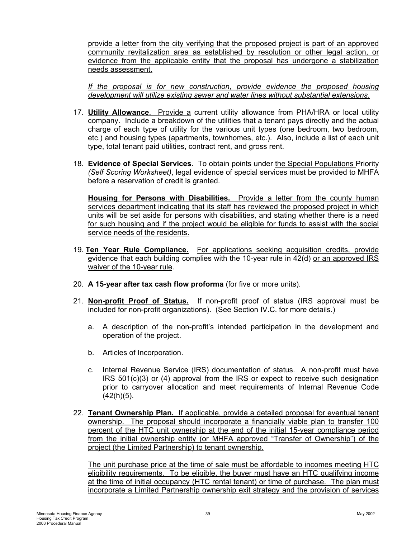provide a letter from the city verifying that the proposed project is part of an approved community revitalization area as established by resolution or other legal action, or evidence from the applicable entity that the proposal has undergone a stabilization needs assessment.

*If the proposal is for new construction, provide evidence the proposed housing development will utilize existing sewer and water lines without substantial extensions.*

- 17. **Utility Allowance**. Provide a current utility allowance from PHA/HRA or local utility company. Include a breakdown of the utilities that a tenant pays directly and the actual charge of each type of utility for the various unit types (one bedroom, two bedroom, etc.) and housing types (apartments, townhomes, etc.). Also, include a list of each unit type, total tenant paid utilities, contract rent, and gross rent.
- 18. **Evidence of Special Services**. To obtain points under the Special Populations Priority *(Self Scoring Worksheet)*, legal evidence of special services must be provided to MHFA before a reservation of credit is granted.

**Housing for Persons with Disabilities.** Provide a letter from the county human services department indicating that its staff has reviewed the proposed project in which units will be set aside for persons with disabilities, and stating whether there is a need for such housing and if the project would be eligible for funds to assist with the social service needs of the residents.

- 19. **Ten Year Rule Compliance.** For applications seeking acquisition credits, provide evidence that each building complies with the 10-year rule in 42(d) or an approved IRS waiver of the 10-year rule.
- 20. **A 15-year after tax cash flow proforma** (for five or more units).
- 21. **Non-profit Proof of Status.** If non-profit proof of status (IRS approval must be included for non-profit organizations). (See Section IV.C. for more details.)
	- a. A description of the non-profit's intended participation in the development and operation of the project.
	- b. Articles of Incorporation.
	- c. Internal Revenue Service (IRS) documentation of status. A non-profit must have  $IRS 501(c)(3)$  or  $(4)$  approval from the IRS or expect to receive such designation prior to carryover allocation and meet requirements of Internal Revenue Code  $(42(h)(5)$ .
- 22. **Tenant Ownership Plan.** If applicable, provide a detailed proposal for eventual tenant ownership. The proposal should incorporate a financially viable plan to transfer 100 percent of the HTC unit ownership at the end of the initial 15-year compliance period from the initial ownership entity (or MHFA approved "Transfer of Ownership") of the project (the Limited Partnership) to tenant ownership.

The unit purchase price at the time of sale must be affordable to incomes meeting HTC eligibility requirements. To be eligible, the buyer must have an HTC qualifying income at the time of initial occupancy (HTC rental tenant) or time of purchase. The plan must incorporate a Limited Partnership ownership exit strategy and the provision of services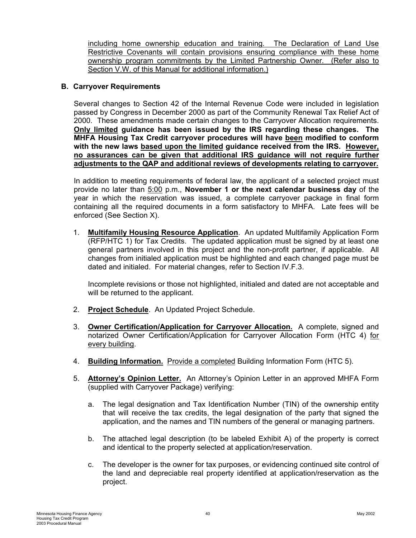<span id="page-42-0"></span>including home ownership education and training. The Declaration of Land Use Restrictive Covenants will contain provisions ensuring compliance with these home ownership program commitments by the Limited Partnership Owner. (Refer also to Section V.W. of this Manual for additional information.)

#### **B. Carryover Requirements**

Several changes to Section 42 of the Internal Revenue Code were included in legislation passed by Congress in December 2000 as part of the Community Renewal Tax Relief Act of 2000. These amendments made certain changes to the Carryover Allocation requirements. **Only limited guidance has been issued by the IRS regarding these changes. The MHFA Housing Tax Credit carryover procedures will have been modified to conform with the new laws based upon the limited guidance received from the IRS. However, no assurances can be given that additional IRS guidance will not require further adjustments to the QAP and additional reviews of developments relating to carryover.**

In addition to meeting requirements of federal law, the applicant of a selected project must provide no later than 5:00 p.m., **November 1 or the next calendar business day** of the year in which the reservation was issued, a complete carryover package in final form containing all the required documents in a form satisfactory to MHFA. Late fees will be enforced (See Section X).

1. **Multifamily Housing Resource Application**. An updated Multifamily Application Form (RFP/HTC 1) for Tax Credits. The updated application must be signed by at least one general partners involved in this project and the non-profit partner, if applicable. All changes from initialed application must be highlighted and each changed page must be dated and initialed. For material changes, refer to Section IV.F.3.

Incomplete revisions or those not highlighted, initialed and dated are not acceptable and will be returned to the applicant.

- 2. **Project Schedule**. An Updated Project Schedule.
- 3. **Owner Certification/Application for Carryover Allocation.** A complete, signed and notarized Owner Certification/Application for Carryover Allocation Form (HTC 4) for every building.
- 4. **Building Information.** Provide a completed Building Information Form (HTC 5).
- 5. **Attorney's Opinion Letter.** An Attorney's Opinion Letter in an approved MHFA Form (supplied with Carryover Package) verifying:
	- a. The legal designation and Tax Identification Number (TIN) of the ownership entity that will receive the tax credits, the legal designation of the party that signed the application, and the names and TIN numbers of the general or managing partners.
	- b. The attached legal description (to be labeled Exhibit A) of the property is correct and identical to the property selected at application/reservation.
	- c. The developer is the owner for tax purposes, or evidencing continued site control of the land and depreciable real property identified at application/reservation as the project.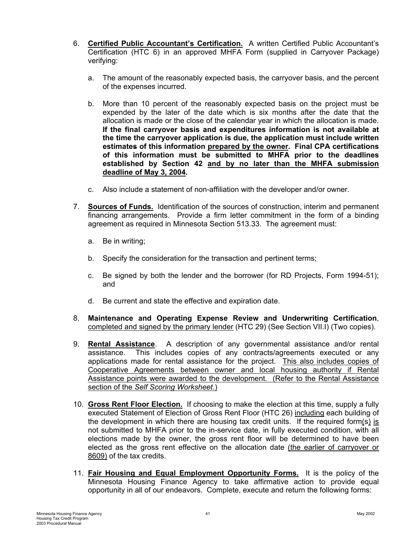- 6. **Certified Public Accountant's Certification.** A written Certified Public Accountant's Certification (HTC 6) in an approved MHFA Form (supplied in Carryover Package) verifying:
	- a. The amount of the reasonably expected basis, the carryover basis, and the percent of the expenses incurred.
	- b. More than 10 percent of the reasonably expected basis on the project must be expended by the later of the date which is six months after the date that the allocation is made or the close of the calendar year in which the allocation is made. **If the final carryover basis and expenditures information is not available at the time the carryover application is due, the application must include written estimates of this information prepared by the owner. Final CPA certifications of this information must be submitted to MHFA prior to the deadlines established by Section 42 and by no later than the MHFA submission deadline of May 3, 2004.**
	- c. Also include a statement of non-affiliation with the developer and/or owner.
- 7. **Sources of Funds.** Identification of the sources of construction, interim and permanent financing arrangements. Provide a firm letter commitment in the form of a binding agreement as required in Minnesota Section 513.33. The agreement must:
	- a. Be in writing;
	- b. Specify the consideration for the transaction and pertinent terms;
	- c. Be signed by both the lender and the borrower (for RD Projects, Form 1994-51); and
	- d. Be current and state the effective and expiration date.
- 8. **Maintenance and Operating Expense Review and Underwriting Certification**, completed and signed by the primary lender (HTC 29) (See Section VII.I) (Two copies).
- 9. **Rental Assistance**. A description of any governmental assistance and/or rental assistance. This includes copies of any contracts/agreements executed or any applications made for rental assistance for the project. This also includes copies of Cooperative Agreements between owner and local housing authority if Rental Assistance points were awarded to the development. (Refer to the Rental Assistance section of the *Self Scoring Worksheet*.)
- 10. **Gross Rent Floor Election.** If choosing to make the election at this time, supply a fully executed Statement of Election of Gross Rent Floor (HTC 26) including each building of the development in which there are housing tax credit units. If the required form(s) is not submitted to MHFA prior to the in-service date, in fully executed condition, with all elections made by the owner, the gross rent floor will be determined to have been elected as the gross rent effective on the allocation date (the earlier of carryover or 8609) of the tax credits.
- 11. **Fair Housing and Equal Employment Opportunity Forms.** It is the policy of the Minnesota Housing Finance Agency to take affirmative action to provide equal opportunity in all of our endeavors. Complete, execute and return the following forms: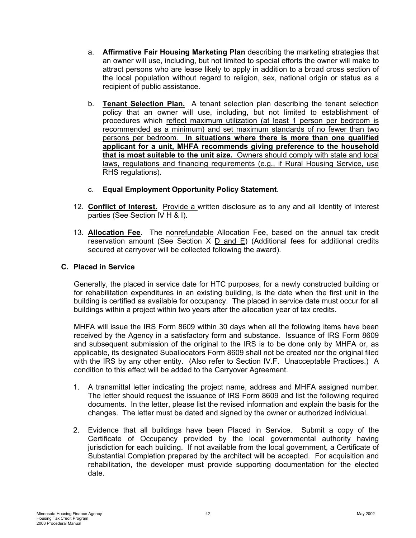- <span id="page-44-0"></span>a. **Affirmative Fair Housing Marketing Plan** describing the marketing strategies that an owner will use, including, but not limited to special efforts the owner will make to attract persons who are lease likely to apply in addition to a broad cross section of the local population without regard to religion, sex, national origin or status as a recipient of public assistance.
- b. **Tenant Selection Plan.** A tenant selection plan describing the tenant selection policy that an owner will use, including, but not limited to establishment of procedures which reflect maximum utilization (at least 1 person per bedroom is recommended as a minimum) and set maximum standards of no fewer than two persons per bedroom. **In situations where there is more than one qualified applicant for a unit, MHFA recommends giving preference to the household that is most suitable to the unit size.** Owners should comply with state and local laws, regulations and financing requirements (e.g., if Rural Housing Service, use RHS regulations).
- c. **Equal Employment Opportunity Policy Statement**.
- 12. **Conflict of Interest.** Provide a written disclosure as to any and all Identity of Interest parties (See Section IV H & I).
- 13. **Allocation Fee**. The nonrefundable Allocation Fee, based on the annual tax credit reservation amount (See Section  $X$   $D$  and  $E$ ) (Additional fees for additional credits secured at carryover will be collected following the award).

#### **C. Placed in Service**

Generally, the placed in service date for HTC purposes, for a newly constructed building or for rehabilitation expenditures in an existing building, is the date when the first unit in the building is certified as available for occupancy. The placed in service date must occur for all buildings within a project within two years after the allocation year of tax credits.

MHFA will issue the IRS Form 8609 within 30 days when all the following items have been received by the Agency in a satisfactory form and substance. Issuance of IRS Form 8609 and subsequent submission of the original to the IRS is to be done only by MHFA or, as applicable, its designated Suballocators Form 8609 shall not be created nor the original filed with the IRS by any other entity. (Also refer to Section IV.F. Unacceptable Practices.) A condition to this effect will be added to the Carryover Agreement.

- 1. A transmittal letter indicating the project name, address and MHFA assigned number. The letter should request the issuance of IRS Form 8609 and list the following required documents. In the letter, please list the revised information and explain the basis for the changes. The letter must be dated and signed by the owner or authorized individual.
- 2. Evidence that all buildings have been Placed in Service. Submit a copy of the Certificate of Occupancy provided by the local governmental authority having jurisdiction for each building. If not available from the local government, a Certificate of Substantial Completion prepared by the architect will be accepted. For acquisition and rehabilitation, the developer must provide supporting documentation for the elected date.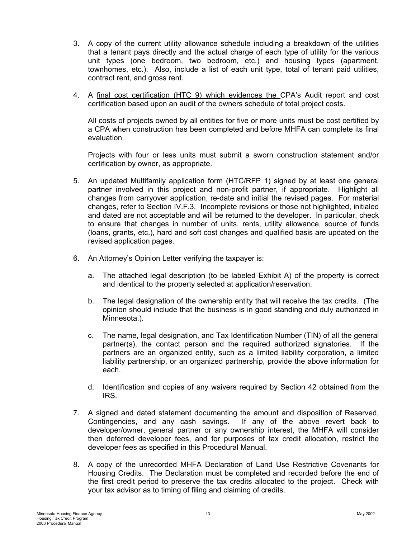- 3. A copy of the current utility allowance schedule including a breakdown of the utilities that a tenant pays directly and the actual charge of each type of utility for the various unit types (one bedroom, two bedroom, etc.) and housing types (apartment, townhomes, etc.). Also, include a list of each unit type, total of tenant paid utilities, contract rent, and gross rent.
- 4. A final cost certification (HTC 9) which evidences the CPA's Audit report and cost certification based upon an audit of the owners schedule of total project costs.

All costs of projects owned by all entities for five or more units must be cost certified by a CPA when construction has been completed and before MHFA can complete its final evaluation.

Projects with four or less units must submit a sworn construction statement and/or certification by owner, as appropriate.

- 5. An updated Multifamily application form (HTC/RFP 1) signed by at least one general partner involved in this project and non-profit partner, if appropriate. Highlight all changes from carryover application, re-date and initial the revised pages. For material changes, refer to Section IV.F.3. Incomplete revisions or those not highlighted, initialed and dated are not acceptable and will be returned to the developer. In particular, check to ensure that changes in number of units, rents, utility allowance, source of funds (loans, grants, etc.), hard and soft cost changes and qualified basis are updated on the revised application pages.
- 6. An Attorney's Opinion Letter verifying the taxpayer is:
	- a. The attached legal description (to be labeled Exhibit A) of the property is correct and identical to the property selected at application/reservation.
	- b. The legal designation of the ownership entity that will receive the tax credits. (The opinion should include that the business is in good standing and duly authorized in Minnesota.).
	- c. The name, legal designation, and Tax Identification Number (TIN) of all the general partner(s), the contact person and the required authorized signatories. If the partners are an organized entity, such as a limited liability corporation, a limited liability partnership, or an organized partnership, provide the above information for each.
	- d. Identification and copies of any waivers required by Section 42 obtained from the IRS.
- 7. A signed and dated statement documenting the amount and disposition of Reserved, Contingencies, and any cash savings. If any of the above revert back to developer/owner, general partner or any ownership interest, the MHFA will consider then deferred developer fees, and for purposes of tax credit allocation, restrict the developer fees as specified in this Procedural Manual.
- 8. A copy of the unrecorded MHFA Declaration of Land Use Restrictive Covenants for Housing Credits. The Declaration must be completed and recorded before the end of the first credit period to preserve the tax credits allocated to the project. Check with your tax advisor as to timing of filing and claiming of credits.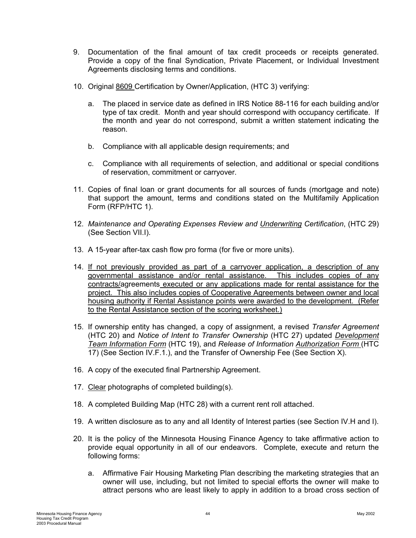- 9. Documentation of the final amount of tax credit proceeds or receipts generated. Provide a copy of the final Syndication, Private Placement, or Individual Investment Agreements disclosing terms and conditions.
- 10. Original 8609 Certification by Owner/Application, (HTC 3) verifying:
	- a. The placed in service date as defined in IRS Notice 88-116 for each building and/or type of tax credit. Month and year should correspond with occupancy certificate. If the month and year do not correspond, submit a written statement indicating the reason.
	- b. Compliance with all applicable design requirements; and
	- c. Compliance with all requirements of selection, and additional or special conditions of reservation, commitment or carryover.
- 11. Copies of final loan or grant documents for all sources of funds (mortgage and note) that support the amount, terms and conditions stated on the Multifamily Application Form (RFP/HTC 1).
- 12. *Maintenance and Operating Expenses Review and Underwriting Certification*, (HTC 29) (See Section VII.I).
- 13. A 15-year after-tax cash flow pro forma (for five or more units).
- 14. If not previously provided as part of a carryover application, a description of any governmental assistance and/or rental assistance. This includes copies of any contracts/agreements executed or any applications made for rental assistance for the project. This also includes copies of Cooperative Agreements between owner and local housing authority if Rental Assistance points were awarded to the development. (Refer to the Rental Assistance section of the scoring worksheet.)
- 15. If ownership entity has changed, a copy of assignment, a revised *Transfer Agreement* (HTC 20) and *Notice of Intent to Transfer Ownership* (HTC 27) updated *Development Team Information Form* (HTC 19), and *Release of Information Authorization Form* (HTC 17) (See Section IV.F.1.), and the Transfer of Ownership Fee (See Section X).
- 16. A copy of the executed final Partnership Agreement.
- 17. Clear photographs of completed building(s).
- 18. A completed Building Map (HTC 28) with a current rent roll attached.
- 19. A written disclosure as to any and all Identity of Interest parties (see Section IV.H and I).
- 20. It is the policy of the Minnesota Housing Finance Agency to take affirmative action to provide equal opportunity in all of our endeavors. Complete, execute and return the following forms:
	- a. Affirmative Fair Housing Marketing Plan describing the marketing strategies that an owner will use, including, but not limited to special efforts the owner will make to attract persons who are least likely to apply in addition to a broad cross section of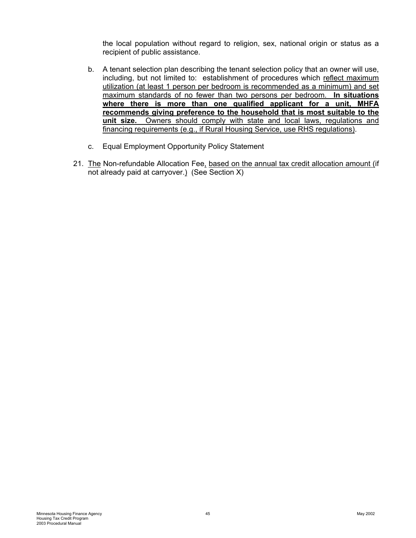the local population without regard to religion, sex, national origin or status as a recipient of public assistance.

- b. A tenant selection plan describing the tenant selection policy that an owner will use, including, but not limited to: establishment of procedures which reflect maximum utilization (at least 1 person per bedroom is recommended as a minimum) and set maximum standards of no fewer than two persons per bedroom. **In situations where there is more than one qualified applicant for a unit, MHFA recommends giving preference to the household that is most suitable to the unit size.** Owners should comply with state and local laws, regulations and financing requirements (e.g., if Rural Housing Service, use RHS regulations).
- c. Equal Employment Opportunity Policy Statement
- 21. The Non-refundable Allocation Fee, based on the annual tax credit allocation amount (if not already paid at carryover.) (See Section X)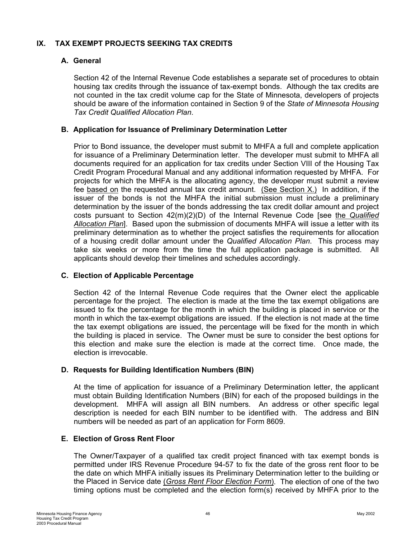# <span id="page-48-0"></span>**IX. TAX EXEMPT PROJECTS SEEKING TAX CREDITS**

#### **A. General**

Section 42 of the Internal Revenue Code establishes a separate set of procedures to obtain housing tax credits through the issuance of tax-exempt bonds. Although the tax credits are not counted in the tax credit volume cap for the State of Minnesota, developers of projects should be aware of the information contained in Section 9 of the *State of Minnesota Housing Tax Credit Qualified Allocation Plan*.

#### **B. Application for Issuance of Preliminary Determination Letter**

Prior to Bond issuance, the developer must submit to MHFA a full and complete application for issuance of a Preliminary Determination letter. The developer must submit to MHFA all documents required for an application for tax credits under Section VIII of the Housing Tax Credit Program Procedural Manual and any additional information requested by MHFA. For projects for which the MHFA is the allocating agency, the developer must submit a review fee based on the requested annual tax credit amount. (See Section X.) In addition, if the issuer of the bonds is not the MHFA the initial submission must include a preliminary determination by the issuer of the bonds addressing the tax credit dollar amount and project costs pursuant to Section 42(m)(2)(D) of the Internal Revenue Code [see the *Qualified Allocation Plan*]. Based upon the submission of documents MHFA will issue a letter with its preliminary determination as to whether the project satisfies the requirements for allocation of a housing credit dollar amount under the *Qualified Allocation Plan*. This process may take six weeks or more from the time the full application package is submitted. All applicants should develop their timelines and schedules accordingly.

#### **C. Election of Applicable Percentage**

Section 42 of the Internal Revenue Code requires that the Owner elect the applicable percentage for the project. The election is made at the time the tax exempt obligations are issued to fix the percentage for the month in which the building is placed in service or the month in which the tax-exempt obligations are issued. If the election is not made at the time the tax exempt obligations are issued, the percentage will be fixed for the month in which the building is placed in service. The Owner must be sure to consider the best options for this election and make sure the election is made at the correct time. Once made, the election is irrevocable.

# **D. Requests for Building Identification Numbers (BIN)**

At the time of application for issuance of a Preliminary Determination letter, the applicant must obtain Building Identification Numbers (BIN) for each of the proposed buildings in the development. MHFA will assign all BIN numbers. An address or other specific legal description is needed for each BIN number to be identified with. The address and BIN numbers will be needed as part of an application for Form 8609.

#### **E. Election of Gross Rent Floor**

The Owner/Taxpayer of a qualified tax credit project financed with tax exempt bonds is permitted under IRS Revenue Procedure 94-57 to fix the date of the gross rent floor to be the date on which MHFA initially issues its Preliminary Determination letter to the building or the Placed in Service date (*Gross Rent Floor Election Form*). The election of one of the two timing options must be completed and the election form(s) received by MHFA prior to the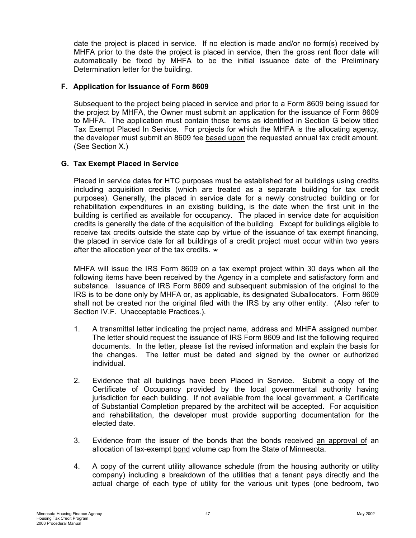<span id="page-49-0"></span>date the project is placed in service. If no election is made and/or no form(s) received by MHFA prior to the date the project is placed in service, then the gross rent floor date will automatically be fixed by MHFA to be the initial issuance date of the Preliminary Determination letter for the building.

#### **F. Application for Issuance of Form 8609**

Subsequent to the project being placed in service and prior to a Form 8609 being issued for the project by MHFA, the Owner must submit an application for the issuance of Form 8609 to MHFA. The application must contain those items as identified in Section G below titled Tax Exempt Placed In Service. For projects for which the MHFA is the allocating agency, the developer must submit an 8609 fee based upon the requested annual tax credit amount. (See Section X.)

# **G. Tax Exempt Placed in Service**

Placed in service dates for HTC purposes must be established for all buildings using credits including acquisition credits (which are treated as a separate building for tax credit purposes). Generally, the placed in service date for a newly constructed building or for rehabilitation expenditures in an existing building, is the date when the first unit in the building is certified as available for occupancy. The placed in service date for acquisition credits is generally the date of the acquisition of the building. Except for buildings eligible to receive tax credits outside the state cap by virtue of the issuance of tax exempt financing, the placed in service date for all buildings of a credit project must occur within two years after the allocation year of the tax credits. **\***

MHFA will issue the IRS Form 8609 on a tax exempt project within 30 days when all the following items have been received by the Agency in a complete and satisfactory form and substance. Issuance of IRS Form 8609 and subsequent submission of the original to the IRS is to be done only by MHFA or, as applicable, its designated Suballocators. Form 8609 shall not be created nor the original filed with the IRS by any other entity. (Also refer to Section IV.F. Unacceptable Practices.).

- 1. A transmittal letter indicating the project name, address and MHFA assigned number. The letter should request the issuance of IRS Form 8609 and list the following required documents. In the letter, please list the revised information and explain the basis for the changes. The letter must be dated and signed by the owner or authorized individual.
- 2. Evidence that all buildings have been Placed in Service. Submit a copy of the Certificate of Occupancy provided by the local governmental authority having jurisdiction for each building. If not available from the local government, a Certificate of Substantial Completion prepared by the architect will be accepted. For acquisition and rehabilitation, the developer must provide supporting documentation for the elected date.
- 3. Evidence from the issuer of the bonds that the bonds received an approval of an allocation of tax-exempt bond volume cap from the State of Minnesota.
- 4. A copy of the current utility allowance schedule (from the housing authority or utility company) including a breakdown of the utilities that a tenant pays directly and the actual charge of each type of utility for the various unit types (one bedroom, two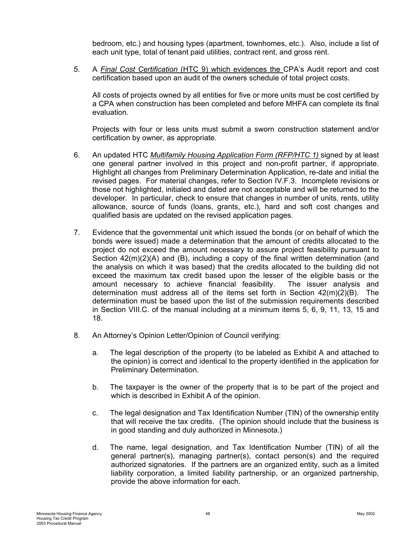bedroom, etc.) and housing types (apartment, townhomes, etc.). Also, include a list of each unit type, total of tenant paid utilities, contract rent, and gross rent.

5. A *Final Cost Certification* (HTC 9) which evidences the CPA's Audit report and cost certification based upon an audit of the owners schedule of total project costs.

All costs of projects owned by all entities for five or more units must be cost certified by a CPA when construction has been completed and before MHFA can complete its final evaluation.

Projects with four or less units must submit a sworn construction statement and/or certification by owner, as appropriate.

- 6. An updated HTC *Multifamily Housing Application Form (RFP/HTC 1)* signed by at least one general partner involved in this project and non-profit partner, if appropriate. Highlight all changes from Preliminary Determination Application, re-date and initial the revised pages. For material changes, refer to Section IV.F.3. Incomplete revisions or those not highlighted, initialed and dated are not acceptable and will be returned to the developer. In particular, check to ensure that changes in number of units, rents, utility allowance, source of funds (loans, grants, etc.), hard and soft cost changes and qualified basis are updated on the revised application pages.
- 7. Evidence that the governmental unit which issued the bonds (or on behalf of which the bonds were issued) made a determination that the amount of credits allocated to the project do not exceed the amount necessary to assure project feasibility pursuant to Section  $42(m)(2)(A)$  and (B), including a copy of the final written determination (and the analysis on which it was based) that the credits allocated to the building did not exceed the maximum tax credit based upon the lesser of the eligible basis or the amount necessary to achieve financial feasibility. The issuer analysis and determination must address all of the items set forth in Section 42(m)(2)(B). The determination must be based upon the list of the submission requirements described in Section VIII.C. of the manual including at a minimum items 5, 6, 9, 11, 13, 15 and 18.
- 8. An Attorney's Opinion Letter/Opinion of Council verifying:
	- a. The legal description of the property (to be labeled as Exhibit A and attached to the opinion) is correct and identical to the property identified in the application for Preliminary Determination.
	- b. The taxpayer is the owner of the property that is to be part of the project and which is described in Exhibit A of the opinion.
	- c. The legal designation and Tax Identification Number (TIN) of the ownership entity that will receive the tax credits. (The opinion should include that the business is in good standing and duly authorized in Minnesota.)
	- d. The name, legal designation, and Tax Identification Number (TIN) of all the general partner(s), managing partner(s), contact person(s) and the required authorized signatories. If the partners are an organized entity, such as a limited liability corporation, a limited liability partnership, or an organized partnership, provide the above information for each.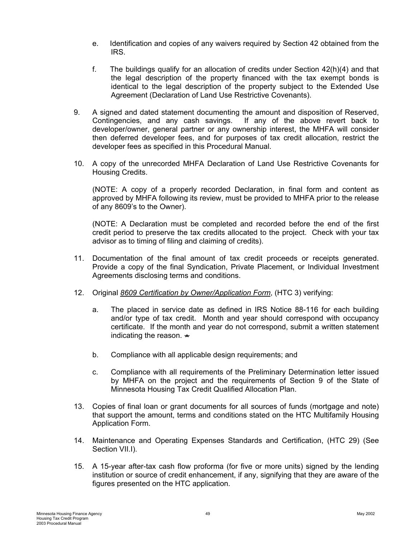- e. Identification and copies of any waivers required by Section 42 obtained from the IRS.
- f. The buildings qualify for an allocation of credits under Section 42(h)(4) and that the legal description of the property financed with the tax exempt bonds is identical to the legal description of the property subject to the Extended Use Agreement (Declaration of Land Use Restrictive Covenants).
- 9. A signed and dated statement documenting the amount and disposition of Reserved, Contingencies, and any cash savings. If any of the above revert back to developer/owner, general partner or any ownership interest, the MHFA will consider then deferred developer fees, and for purposes of tax credit allocation, restrict the developer fees as specified in this Procedural Manual.
- 10. A copy of the unrecorded MHFA Declaration of Land Use Restrictive Covenants for Housing Credits.

(NOTE: A copy of a properly recorded Declaration, in final form and content as approved by MHFA following its review, must be provided to MHFA prior to the release of any 8609's to the Owner).

(NOTE: A Declaration must be completed and recorded before the end of the first credit period to preserve the tax credits allocated to the project. Check with your tax advisor as to timing of filing and claiming of credits).

- 11. Documentation of the final amount of tax credit proceeds or receipts generated. Provide a copy of the final Syndication, Private Placement, or Individual Investment Agreements disclosing terms and conditions.
- 12. Original *8609 Certification by Owner/Application Form*, (HTC 3) verifying:
	- a. The placed in service date as defined in IRS Notice 88-116 for each building and/or type of tax credit. Month and year should correspond with occupancy certificate. If the month and year do not correspond, submit a written statement indicating the reason. **\***
	- b. Compliance with all applicable design requirements; and
	- c. Compliance with all requirements of the Preliminary Determination letter issued by MHFA on the project and the requirements of Section 9 of the State of Minnesota Housing Tax Credit Qualified Allocation Plan.
- 13. Copies of final loan or grant documents for all sources of funds (mortgage and note) that support the amount, terms and conditions stated on the HTC Multifamily Housing Application Form.
- 14. Maintenance and Operating Expenses Standards and Certification, (HTC 29) (See Section VII.I).
- 15. A 15-year after-tax cash flow proforma (for five or more units) signed by the lending institution or source of credit enhancement, if any, signifying that they are aware of the figures presented on the HTC application.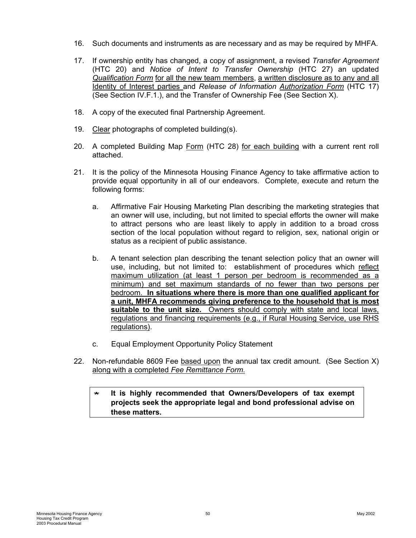- 16. Such documents and instruments as are necessary and as may be required by MHFA.
- 17. If ownership entity has changed, a copy of assignment, a revised *Transfer Agreement* (HTC 20) and *Notice of Intent to Transfer Ownership* (HTC 27) an updated *Qualification Form* for all the new team members, a written disclosure as to any and all Identity of Interest parties and *Release of Information Authorization Form* (HTC 17) (See Section IV.F.1.), and the Transfer of Ownership Fee (See Section X).
- 18. A copy of the executed final Partnership Agreement.
- 19. Clear photographs of completed building(s).
- 20. A completed Building Map Form (HTC 28) for each building with a current rent roll attached.
- 21. It is the policy of the Minnesota Housing Finance Agency to take affirmative action to provide equal opportunity in all of our endeavors. Complete, execute and return the following forms:
	- a. Affirmative Fair Housing Marketing Plan describing the marketing strategies that an owner will use, including, but not limited to special efforts the owner will make to attract persons who are least likely to apply in addition to a broad cross section of the local population without regard to religion, sex, national origin or status as a recipient of public assistance.
	- b. A tenant selection plan describing the tenant selection policy that an owner will use, including, but not limited to: establishment of procedures which reflect maximum utilization (at least 1 person per bedroom is recommended as a minimum) and set maximum standards of no fewer than two persons per bedroom. **In situations where there is more than one qualified applicant for a unit, MHFA recommends giving preference to the household that is most suitable to the unit size.** Owners should comply with state and local laws, regulations and financing requirements (e.g., if Rural Housing Service, use RHS regulations).
	- c. Equal Employment Opportunity Policy Statement
- 22. Non-refundable 8609 Fee based upon the annual tax credit amount. (See Section X) along with a completed *Fee Remittance Form*.

### **\* It is highly recommended that Owners/Developers of tax exempt projects seek the appropriate legal and bond professional advise on these matters.**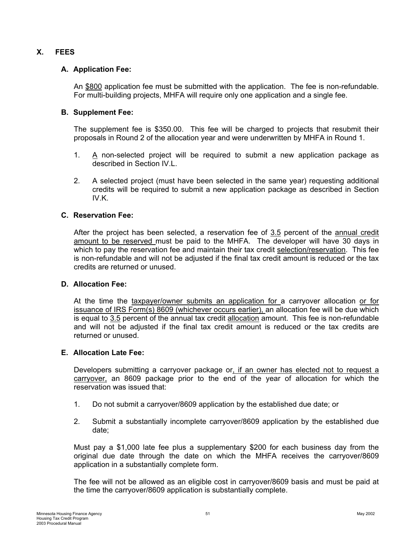# <span id="page-53-0"></span>**X. FEES**

#### **A. Application Fee:**

An \$800 application fee must be submitted with the application. The fee is non-refundable. For multi-building projects, MHFA will require only one application and a single fee.

#### **B. Supplement Fee:**

The supplement fee is \$350.00. This fee will be charged to projects that resubmit their proposals in Round 2 of the allocation year and were underwritten by MHFA in Round 1.

- 1. A non-selected project will be required to submit a new application package as described in Section IV.L.
- 2. A selected project (must have been selected in the same year) requesting additional credits will be required to submit a new application package as described in Section IV.K.

#### **C. Reservation Fee:**

After the project has been selected, a reservation fee of 3.5 percent of the annual credit amount to be reserved must be paid to the MHFA. The developer will have 30 days in which to pay the reservation fee and maintain their tax credit selection/reservation. This fee is non-refundable and will not be adjusted if the final tax credit amount is reduced or the tax credits are returned or unused.

#### **D. Allocation Fee:**

At the time the taxpayer/owner submits an application for a carryover allocation or for issuance of IRS Form(s) 8609 (whichever occurs earlier), an allocation fee will be due which is equal to 3.5 percent of the annual tax credit allocation amount. This fee is non-refundable and will not be adjusted if the final tax credit amount is reduced or the tax credits are returned or unused.

#### **E. Allocation Late Fee:**

Developers submitting a carryover package or, if an owner has elected not to request a carryover, an 8609 package prior to the end of the year of allocation for which the reservation was issued that:

- 1. Do not submit a carryover/8609 application by the established due date; or
- 2. Submit a substantially incomplete carryover/8609 application by the established due date;

Must pay a \$1,000 late fee plus a supplementary \$200 for each business day from the original due date through the date on which the MHFA receives the carryover/8609 application in a substantially complete form.

The fee will not be allowed as an eligible cost in carryover/8609 basis and must be paid at the time the carryover/8609 application is substantially complete.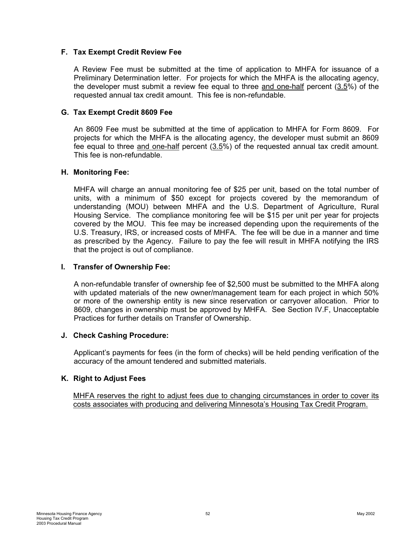#### <span id="page-54-0"></span>**F. Tax Exempt Credit Review Fee**

A Review Fee must be submitted at the time of application to MHFA for issuance of a Preliminary Determination letter. For projects for which the MHFA is the allocating agency, the developer must submit a review fee equal to three and one-half percent (3.5%) of the requested annual tax credit amount. This fee is non-refundable.

#### **G. Tax Exempt Credit 8609 Fee**

An 8609 Fee must be submitted at the time of application to MHFA for Form 8609. For projects for which the MHFA is the allocating agency, the developer must submit an 8609 fee equal to three and one-half percent (3.5%) of the requested annual tax credit amount. This fee is non-refundable.

#### **H. Monitoring Fee:**

MHFA will charge an annual monitoring fee of \$25 per unit, based on the total number of units, with a minimum of \$50 except for projects covered by the memorandum of understanding (MOU) between MHFA and the U.S. Department of Agriculture, Rural Housing Service. The compliance monitoring fee will be \$15 per unit per year for projects covered by the MOU. This fee may be increased depending upon the requirements of the U.S. Treasury, IRS, or increased costs of MHFA. The fee will be due in a manner and time as prescribed by the Agency. Failure to pay the fee will result in MHFA notifying the IRS that the project is out of compliance.

#### **I. Transfer of Ownership Fee:**

A non-refundable transfer of ownership fee of \$2,500 must be submitted to the MHFA along with updated materials of the new owner/management team for each project in which 50% or more of the ownership entity is new since reservation or carryover allocation. Prior to 8609, changes in ownership must be approved by MHFA. See Section IV.F, Unacceptable Practices for further details on Transfer of Ownership.

#### **J. Check Cashing Procedure:**

Applicant's payments for fees (in the form of checks) will be held pending verification of the accuracy of the amount tendered and submitted materials.

#### **K. Right to Adjust Fees**

MHFA reserves the right to adjust fees due to changing circumstances in order to cover its costs associates with producing and delivering Minnesota's Housing Tax Credit Program.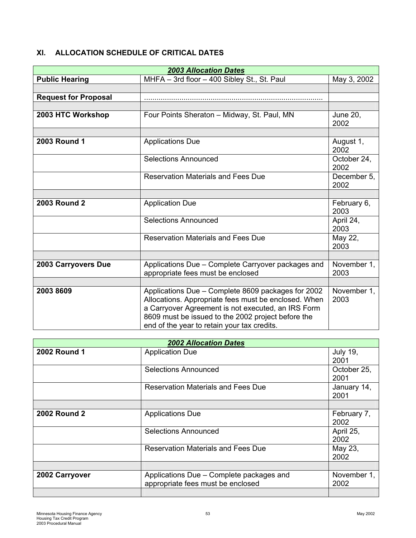# <span id="page-55-0"></span>**XI. ALLOCATION SCHEDULE OF CRITICAL DATES**

| <b>2003 Allocation Dates</b> |                                                                                                                                                                                                                                                                       |                         |  |
|------------------------------|-----------------------------------------------------------------------------------------------------------------------------------------------------------------------------------------------------------------------------------------------------------------------|-------------------------|--|
| <b>Public Hearing</b>        | MHFA - 3rd floor - 400 Sibley St., St. Paul                                                                                                                                                                                                                           | May 3, 2002             |  |
|                              |                                                                                                                                                                                                                                                                       |                         |  |
| <b>Request for Proposal</b>  |                                                                                                                                                                                                                                                                       |                         |  |
|                              |                                                                                                                                                                                                                                                                       |                         |  |
| 2003 HTC Workshop            | Four Points Sheraton - Midway, St. Paul, MN                                                                                                                                                                                                                           | <b>June 20,</b><br>2002 |  |
|                              |                                                                                                                                                                                                                                                                       |                         |  |
| <b>2003 Round 1</b>          | <b>Applications Due</b>                                                                                                                                                                                                                                               | August 1,<br>2002       |  |
|                              | <b>Selections Announced</b>                                                                                                                                                                                                                                           | October 24,<br>2002     |  |
|                              | <b>Reservation Materials and Fees Due</b>                                                                                                                                                                                                                             | December 5,<br>2002     |  |
|                              |                                                                                                                                                                                                                                                                       |                         |  |
| <b>2003 Round 2</b>          | <b>Application Due</b>                                                                                                                                                                                                                                                | February 6,<br>2003     |  |
|                              | <b>Selections Announced</b>                                                                                                                                                                                                                                           | April 24,<br>2003       |  |
|                              | <b>Reservation Materials and Fees Due</b>                                                                                                                                                                                                                             | May 22,<br>2003         |  |
|                              |                                                                                                                                                                                                                                                                       |                         |  |
| <b>2003 Carryovers Due</b>   | Applications Due - Complete Carryover packages and<br>appropriate fees must be enclosed                                                                                                                                                                               | November 1,<br>2003     |  |
|                              |                                                                                                                                                                                                                                                                       |                         |  |
| 2003 8609                    | Applications Due - Complete 8609 packages for 2002<br>Allocations. Appropriate fees must be enclosed. When<br>a Carryover Agreement is not executed, an IRS Form<br>8609 must be issued to the 2002 project before the<br>end of the year to retain your tax credits. | November 1,<br>2003     |  |

| <b>2002 Allocation Dates</b> |                                                                               |                         |
|------------------------------|-------------------------------------------------------------------------------|-------------------------|
| <b>2002 Round 1</b>          | <b>Application Due</b>                                                        | <b>July 19,</b><br>2001 |
|                              | <b>Selections Announced</b>                                                   | October 25,<br>2001     |
|                              | <b>Reservation Materials and Fees Due</b>                                     | January 14,<br>2001     |
|                              |                                                                               |                         |
| <b>2002 Round 2</b>          | <b>Applications Due</b>                                                       | February 7,<br>2002     |
|                              | Selections Announced                                                          | April 25,<br>2002       |
|                              | <b>Reservation Materials and Fees Due</b>                                     | May 23,<br>2002         |
|                              |                                                                               |                         |
| 2002 Carryover               | Applications Due – Complete packages and<br>appropriate fees must be enclosed | November 1,<br>2002     |
|                              |                                                                               |                         |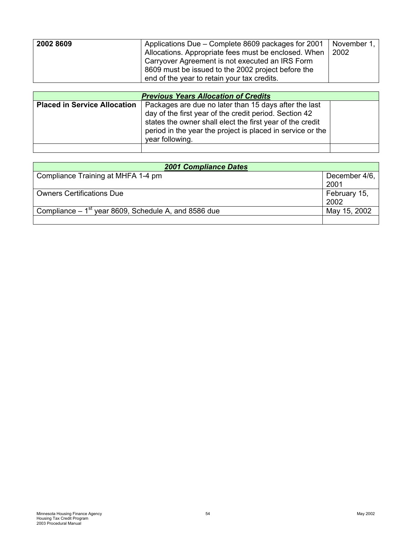| 2002 8609 | Applications Due – Complete 8609 packages for 2001                                                                                                            | November 1, |
|-----------|---------------------------------------------------------------------------------------------------------------------------------------------------------------|-------------|
|           | Allocations. Appropriate fees must be enclosed. When<br>Carryover Agreement is not executed an IRS Form<br>8609 must be issued to the 2002 project before the | 2002        |
|           | end of the year to retain your tax credits.                                                                                                                   |             |

| <b>Previous Years Allocation of Credits</b> |                                                                                                                                                                                                                                                               |  |
|---------------------------------------------|---------------------------------------------------------------------------------------------------------------------------------------------------------------------------------------------------------------------------------------------------------------|--|
| <b>Placed in Service Allocation</b>         | Packages are due no later than 15 days after the last<br>day of the first year of the credit period. Section 42<br>states the owner shall elect the first year of the credit<br>period in the year the project is placed in service or the<br>year following. |  |
|                                             |                                                                                                                                                                                                                                                               |  |

| <b>2001 Compliance Dates</b>                          |                       |  |
|-------------------------------------------------------|-----------------------|--|
| Compliance Training at MHFA 1-4 pm                    | December 4/6,<br>2001 |  |
| <b>Owners Certifications Due</b>                      | February 15,<br>2002  |  |
| Compliance $-1st$ year 8609, Schedule A, and 8586 due | May 15, 2002          |  |
|                                                       |                       |  |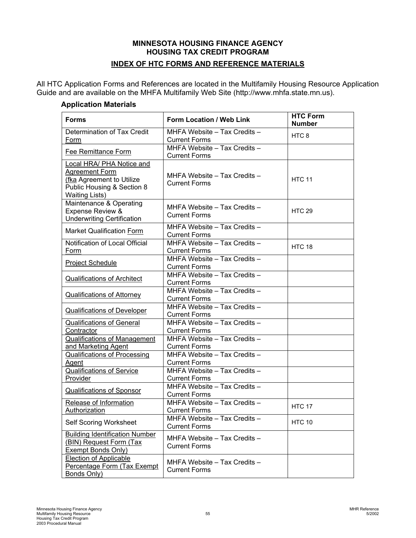# **MINNESOTA HOUSING FINANCE AGENCY HOUSING TAX CREDIT PROGRAM INDEX OF HTC FORMS AND REFERENCE MATERIALS**

<span id="page-57-0"></span>All HTC Application Forms and References are located in the Multifamily Housing Resource Application Guide and are available on the MHFA Multifamily Web Site (http://www.mhfa.state.mn.us).

#### **Application Materials**

| <b>Forms</b>                                                                                                                           | Form Location / Web Link                             | <b>HTC Form</b><br><b>Number</b> |
|----------------------------------------------------------------------------------------------------------------------------------------|------------------------------------------------------|----------------------------------|
| Determination of Tax Credit<br>Form                                                                                                    | MHFA Website - Tax Credits -<br><b>Current Forms</b> | HTC <sub>8</sub>                 |
| <b>Fee Remittance Form</b>                                                                                                             | MHFA Website - Tax Credits -<br><b>Current Forms</b> |                                  |
| <b>Local HRA/ PHA Notice and</b><br>Agreement Form<br>(fka Agreement to Utilize<br>Public Housing & Section 8<br><b>Waiting Lists)</b> | MHFA Website - Tax Credits -<br><b>Current Forms</b> | <b>HTC 11</b>                    |
| Maintenance & Operating<br><b>Expense Review &amp;</b><br><b>Underwriting Certification</b>                                            | MHFA Website - Tax Credits -<br><b>Current Forms</b> | <b>HTC 29</b>                    |
| Market Qualification Form                                                                                                              | MHFA Website - Tax Credits -<br><b>Current Forms</b> |                                  |
| Notification of Local Official<br>Form                                                                                                 | MHFA Website - Tax Credits -<br><b>Current Forms</b> | <b>HTC 18</b>                    |
| <b>Project Schedule</b>                                                                                                                | MHFA Website - Tax Credits -<br><b>Current Forms</b> |                                  |
| <b>Qualifications of Architect</b>                                                                                                     | MHFA Website - Tax Credits -<br><b>Current Forms</b> |                                  |
| <b>Qualifications of Attorney</b>                                                                                                      | MHFA Website - Tax Credits -<br><b>Current Forms</b> |                                  |
| Qualifications of Developer                                                                                                            | MHFA Website - Tax Credits -<br><b>Current Forms</b> |                                  |
| <b>Qualifications of General</b><br>Contractor                                                                                         | MHFA Website - Tax Credits -<br><b>Current Forms</b> |                                  |
| <b>Qualifications of Management</b><br>and Marketing Agent                                                                             | MHFA Website - Tax Credits -<br><b>Current Forms</b> |                                  |
| Qualifications of Processing<br>Agent                                                                                                  | MHFA Website - Tax Credits -<br><b>Current Forms</b> |                                  |
| <b>Qualifications of Service</b><br>Provider                                                                                           | MHFA Website - Tax Credits -<br><b>Current Forms</b> |                                  |
| <b>Qualifications of Sponsor</b>                                                                                                       | MHFA Website - Tax Credits -<br><b>Current Forms</b> |                                  |
| Release of Information<br>Authorization                                                                                                | MHFA Website - Tax Credits -<br><b>Current Forms</b> | <b>HTC 17</b>                    |
| <b>Self Scoring Worksheet</b>                                                                                                          | MHFA Website – Tax Credits –<br><b>Current Forms</b> | <b>HTC 10</b>                    |
| <b>Building Identification Number</b><br>(BIN) Request Form (Tax<br><b>Exempt Bonds Only)</b>                                          | MHFA Website - Tax Credits -<br><b>Current Forms</b> |                                  |
| <b>Election of Applicable</b><br>Percentage Form (Tax Exempt<br>Bonds Only)                                                            | MHFA Website - Tax Credits -<br><b>Current Forms</b> |                                  |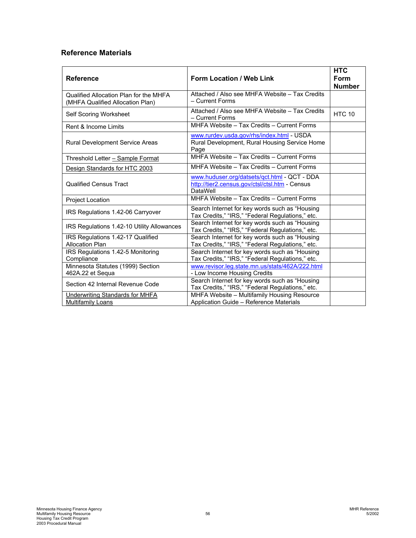# <span id="page-58-0"></span>**Reference Materials**

| <b>Reference</b>                                                           | Form Location / Web Link                                                                                   | <b>HTC</b><br>Form<br><b>Number</b> |
|----------------------------------------------------------------------------|------------------------------------------------------------------------------------------------------------|-------------------------------------|
| Qualified Allocation Plan for the MHFA<br>(MHFA Qualified Allocation Plan) | Attached / Also see MHFA Website - Tax Credits<br>- Current Forms                                          |                                     |
| Self Scoring Worksheet                                                     | Attached / Also see MHFA Website - Tax Credits<br>- Current Forms                                          | <b>HTC 10</b>                       |
| Rent & Income Limits                                                       | MHFA Website - Tax Credits - Current Forms                                                                 |                                     |
| Rural Development Service Areas                                            | www.rurdev.usda.gov/rhs/index.html - USDA<br>Rural Development, Rural Housing Service Home<br>Page         |                                     |
| Threshold Letter - Sample Format                                           | MHFA Website - Tax Credits - Current Forms                                                                 |                                     |
| Design Standards for HTC 2003                                              | MHFA Website - Tax Credits - Current Forms                                                                 |                                     |
| <b>Qualified Census Tract</b>                                              | www.huduser.org/datsets/qct.html - QCT - DDA<br>http://tier2.census.gov/ctsl/ctsl.htm - Census<br>DataWell |                                     |
| Project Location                                                           | MHFA Website - Tax Credits - Current Forms                                                                 |                                     |
| IRS Regulations 1.42-06 Carryover                                          | Search Internet for key words such as "Housing<br>Tax Credits," "IRS," "Federal Regulations," etc.         |                                     |
| IRS Regulations 1.42-10 Utility Allowances                                 | Search Internet for key words such as "Housing<br>Tax Credits," "IRS," "Federal Regulations," etc.         |                                     |
| IRS Regulations 1.42-17 Qualified<br><b>Allocation Plan</b>                | Search Internet for key words such as "Housing<br>Tax Credits," "IRS," "Federal Regulations," etc.         |                                     |
| IRS Regulations 1.42-5 Monitoring<br>Compliance                            | Search Internet for key words such as "Housing<br>Tax Credits," "IRS," "Federal Regulations," etc.         |                                     |
| Minnesota Statutes (1999) Section<br>462A.22 et Sequa                      | www.revisor.leg.state.mn.us/stats/462A/222.html<br>- Low Income Housing Credits                            |                                     |
| Section 42 Internal Revenue Code                                           | Search Internet for key words such as "Housing<br>Tax Credits," "IRS," "Federal Regulations," etc.         |                                     |
| <b>Underwriting Standards for MHFA</b><br><b>Multifamily Loans</b>         | MHFA Website - Multifamily Housing Resource<br>Application Guide - Reference Materials                     |                                     |